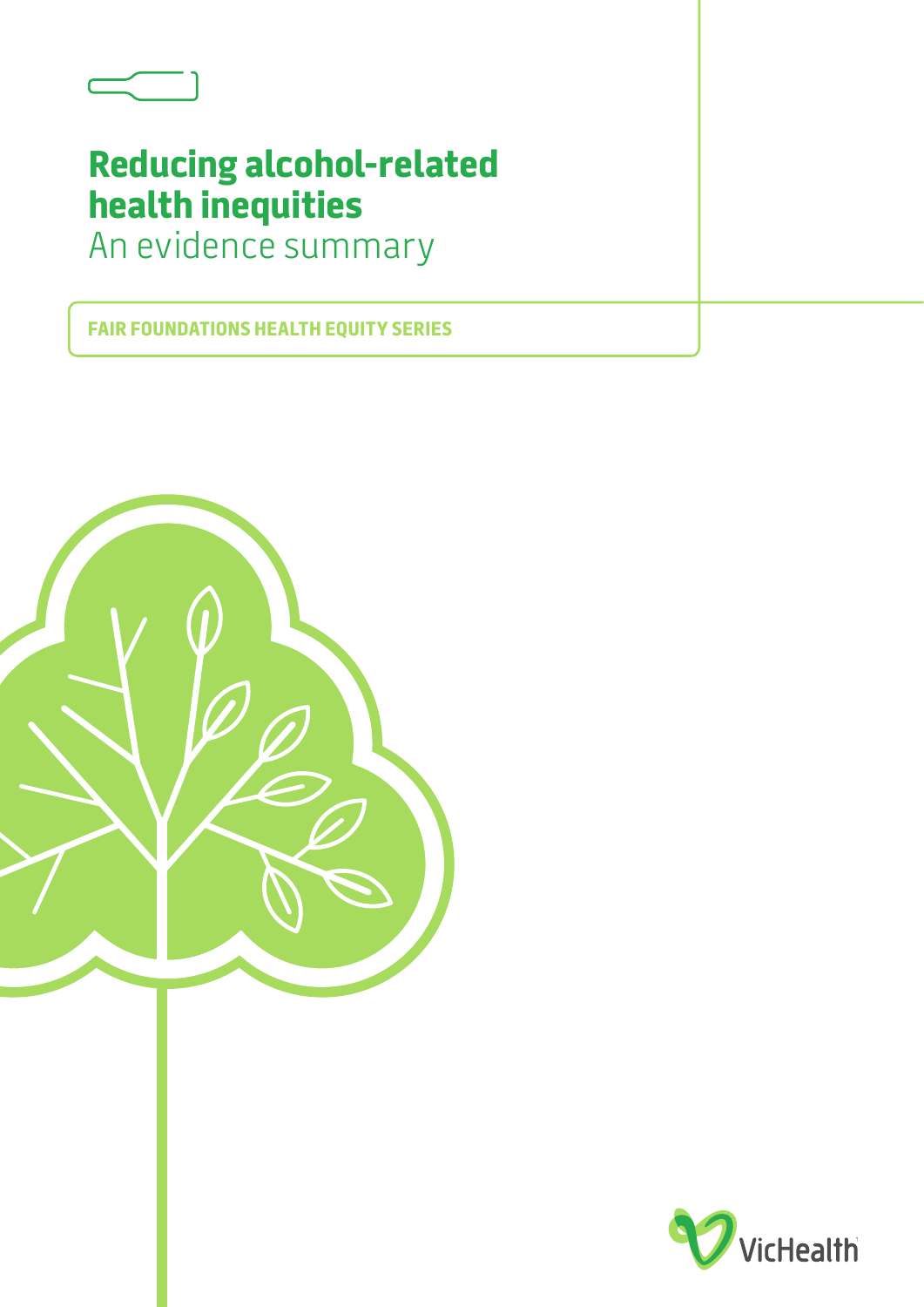

# **Reducing alcohol-related health inequities**

An evidence summary

**FAIR FOUNDATIONS HEALTH EQUITY SERIES**



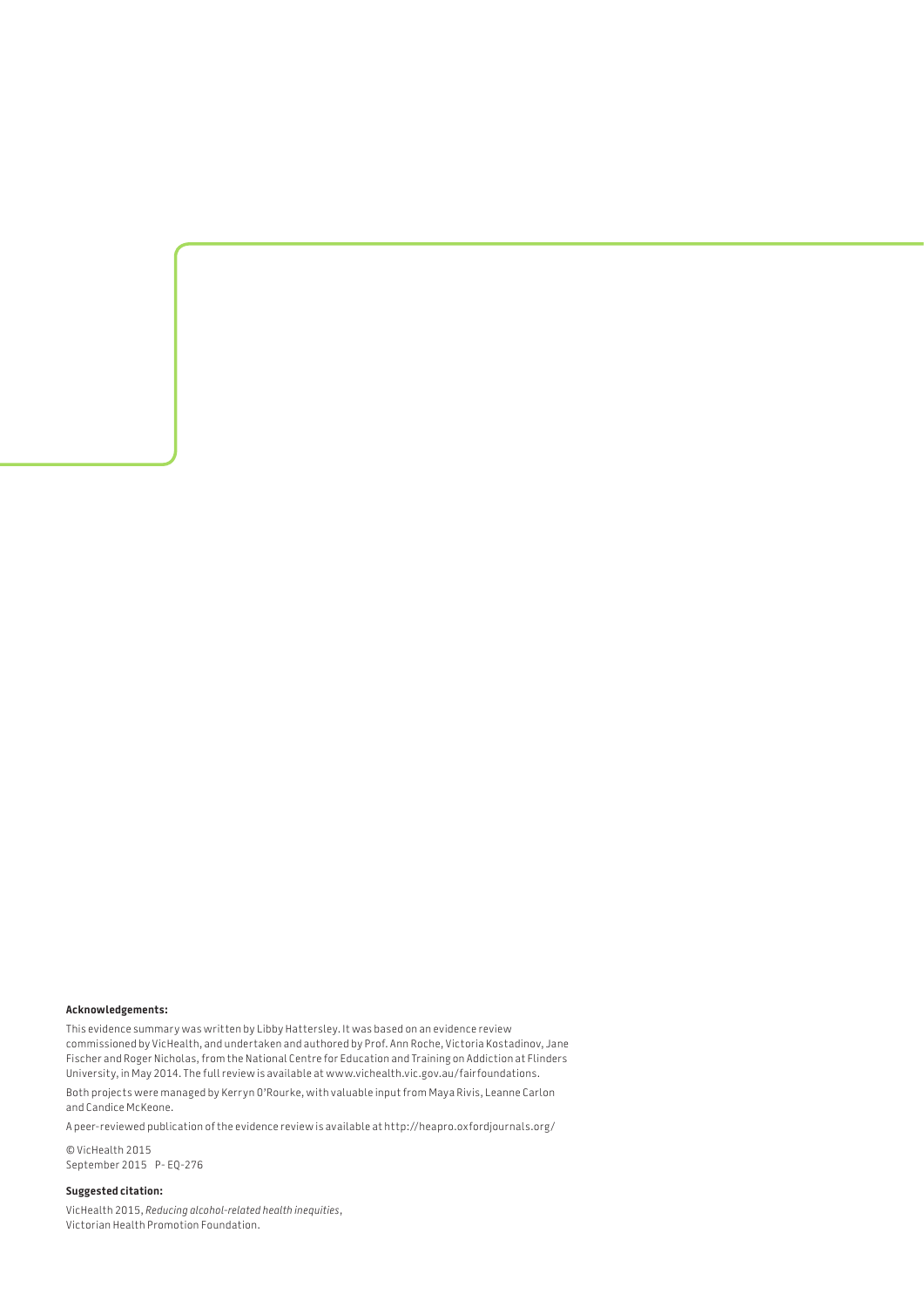#### **Acknowledgements:**

This evidence summary was written by Libby Hattersley. It was based on an evidence review commissioned by VicHealth, and undertaken and authored by Prof. Ann Roche, Victoria Kostadinov, Jane Fischer and Roger Nicholas, from the National Centre for Education and Training on Addiction at Flinders University, in May 2014. The full review is available at [www.vichealth.vic.gov.au/fairfoundations.](http://www.vichealth.vic.gov.au/fairfoundations)

Both projects were managed by Kerryn O'Rourke, with valuable input from Maya Rivis, Leanne Carlon and Candice McKeone.

A peer-reviewed publication of the evidence review is available at <http://heapro.oxfordjournals.org/>

© VicHealth 2015 September 2015 P- EQ-276

#### **Suggested citation:**

VicHealth 2015, *Reducing alcohol-related health inequities*, Victorian Health Promotion Foundation.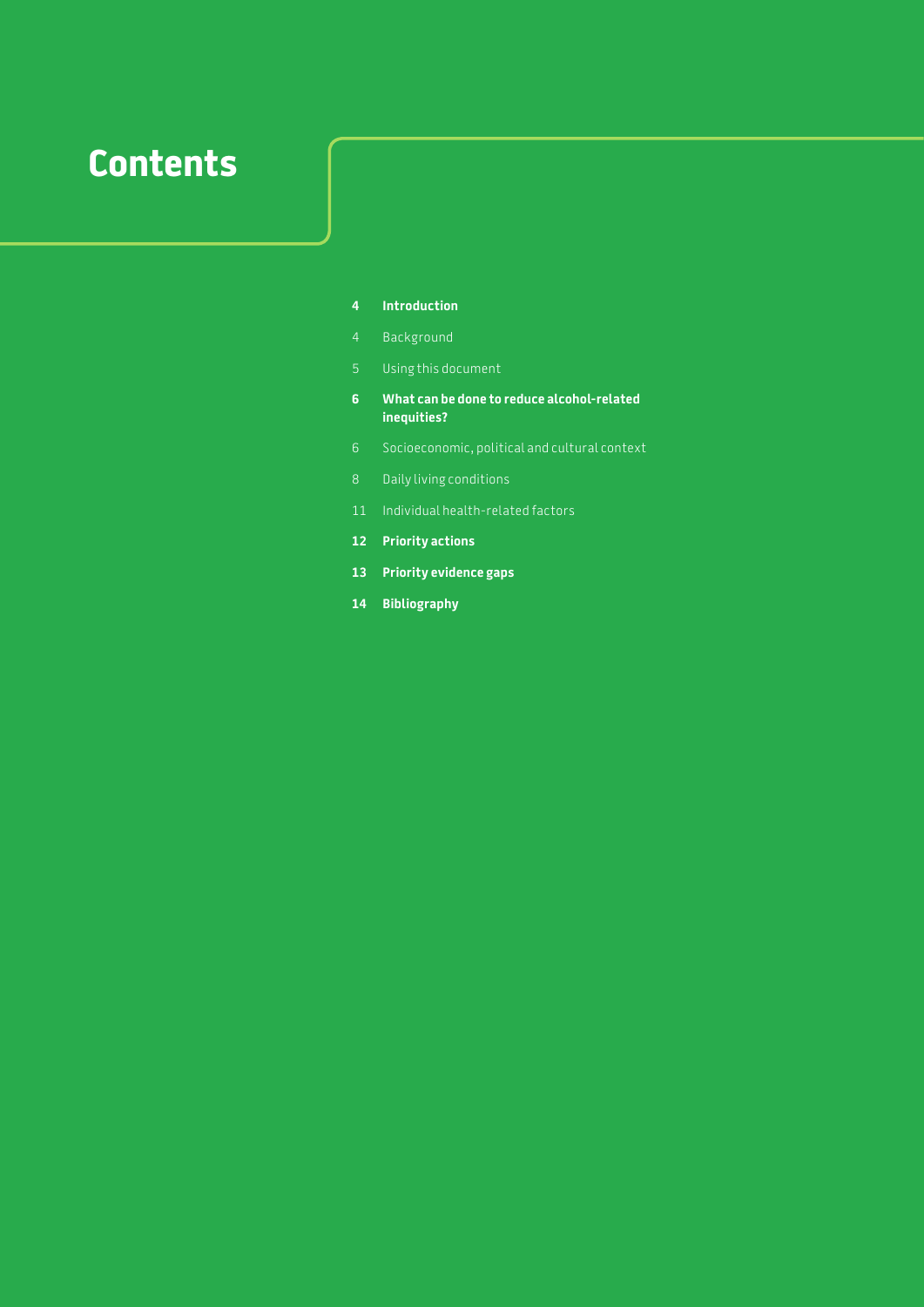# **Contents**

#### **Introduction**

- Background
- Using this document
- **6 What can be done to reduce alcohol-related inequities?**
- Socioeconomic, political and cultural context
- Daily living conditions
- Individual health-related factors
- **Priority actions**
- **Priority evidence gaps**
- **Bibliography**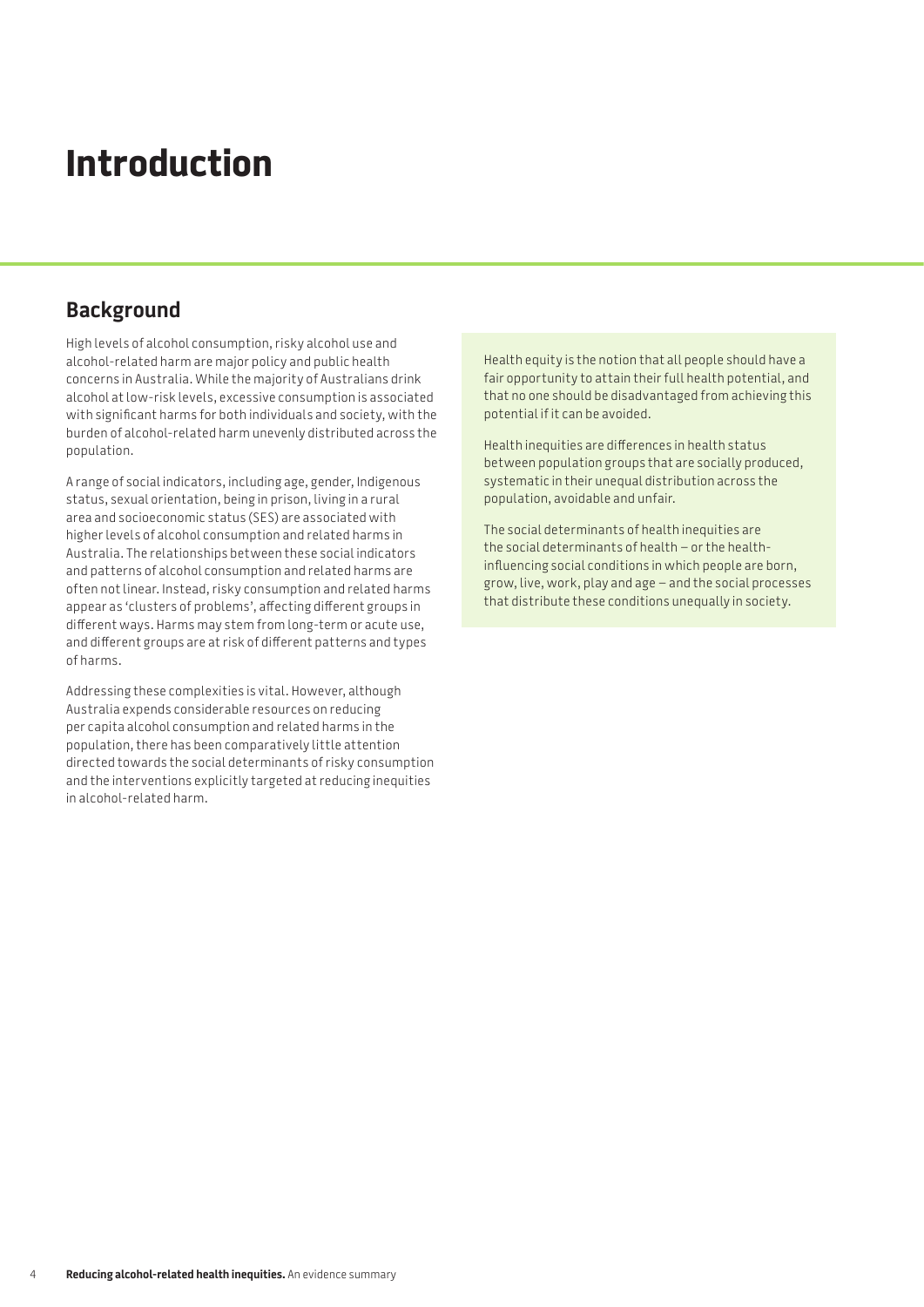# **Introduction**

# **Background**

High levels of alcohol consumption, risky alcohol use and alcohol-related harm are major policy and public health concerns in Australia. While the majority of Australians drink alcohol at low-risk levels, excessive consumption is associated with significant harms for both individuals and society, with the burden of alcohol-related harm unevenly distributed across the population.

A range of social indicators, including age, gender, Indigenous status, sexual orientation, being in prison, living in a rural area and socioeconomic status (SES) are associated with higher levels of alcohol consumption and related harms in Australia. The relationships between these social indicators and patterns of alcohol consumption and related harms are often not linear. Instead, risky consumption and related harms appear as 'clusters of problems', affecting different groups in different ways. Harms may stem from long-term or acute use, and different groups are at risk of different patterns and types of harms.

Addressing these complexities is vital. However, although Australia expends considerable resources on reducing per capita alcohol consumption and related harms in the population, there has been comparatively little attention directed towards the social determinants of risky consumption and the interventions explicitly targeted at reducing inequities in alcohol-related harm.

Health equity is the notion that all people should have a fair opportunity to attain their full health potential, and that no one should be disadvantaged from achieving this potential if it can be avoided.

Health inequities are differences in health status between population groups that are socially produced, systematic in their unequal distribution across the population, avoidable and unfair.

The social determinants of health inequities are the social determinants of health – or the healthinfluencing social conditions in which people are born, grow, live, work, play and age – and the social processes that distribute these conditions unequally in society.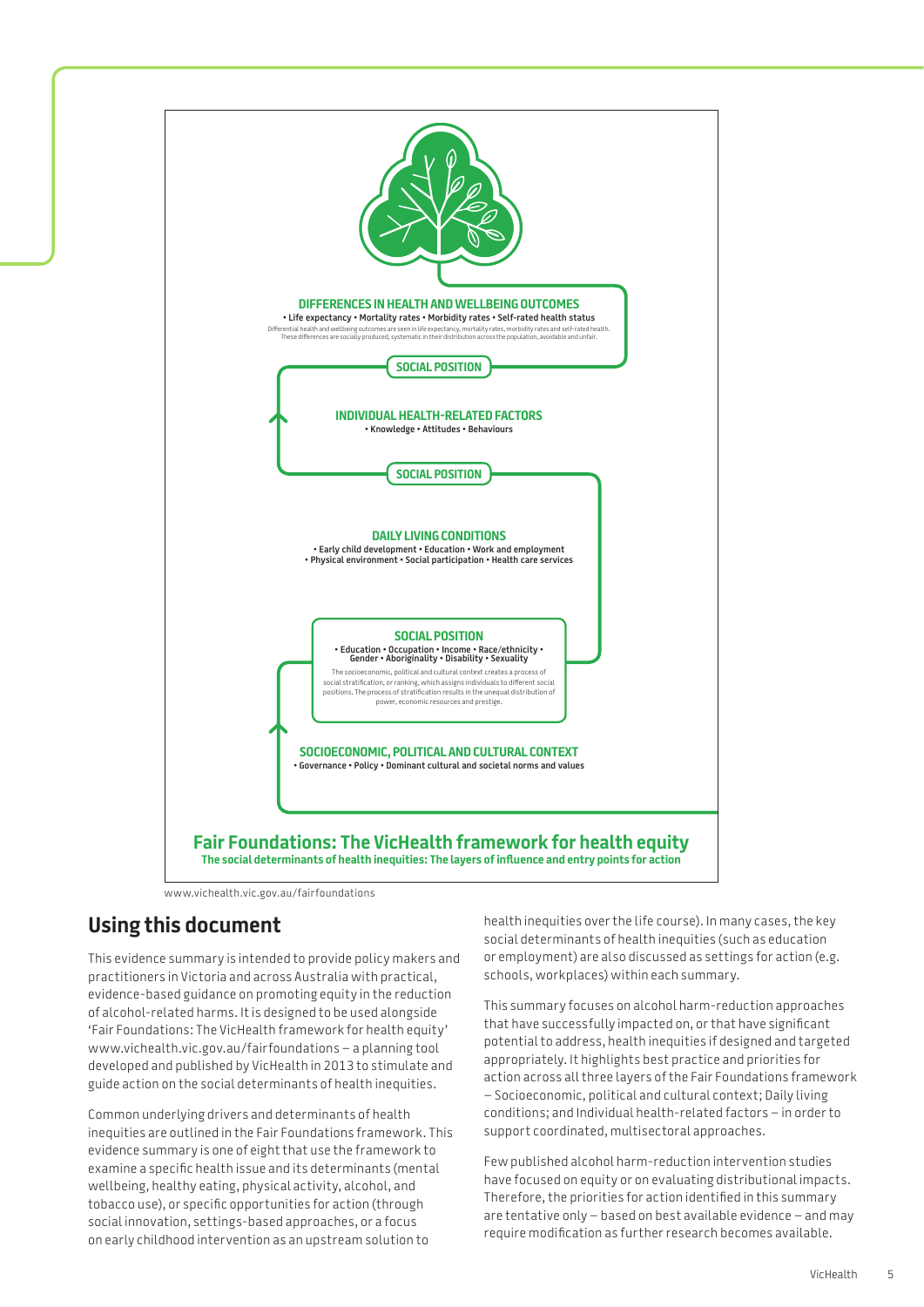

[www.vichealth.vic.gov.au/fairfoundations](http://www.vichealth.vic.gov.au/fairfoundations)

# **Using this document**

This evidence summary is intended to provide policy makers and practitioners in Victoria and across Australia with practical, evidence-based guidance on promoting equity in the reduction of alcohol-related harms. It is designed to be used alongside 'Fair Foundations: The VicHealth framework for health equity' [www.vichealth.vic.gov.au/fairfoundations –](http://www.vichealth.vic.gov.au/fairfoundations) a planning tool developed and published by VicHealth in 2013 to stimulate and guide action on the social determinants of health inequities.

Common underlying drivers and determinants of health inequities are outlined in the Fair Foundations framework. This evidence summary is one of eight that use the framework to examine a specific health issue and its determinants (mental wellbeing, healthy eating, physical activity, alcohol, and tobacco use), or specific opportunities for action (through social innovation, settings-based approaches, or a focus on early childhood intervention as an upstream solution to

health inequities over the life course). In many cases, the key social determinants of health inequities (such as education or employment) are also discussed as settings for action (e.g. schools, workplaces) within each summary.

This summary focuses on alcohol harm-reduction approaches that have successfully impacted on, or that have significant potential to address, health inequities if designed and targeted appropriately. It highlights best practice and priorities for action across all three layers of the Fair Foundations framework – Socioeconomic, political and cultural context; Daily living conditions; and Individual health-related factors – in order to support coordinated, multisectoral approaches.

Few published alcohol harm-reduction intervention studies have focused on equity or on evaluating distributional impacts. Therefore, the priorities for action identified in this summary are tentative only – based on best available evidence – and may require modification as further research becomes available.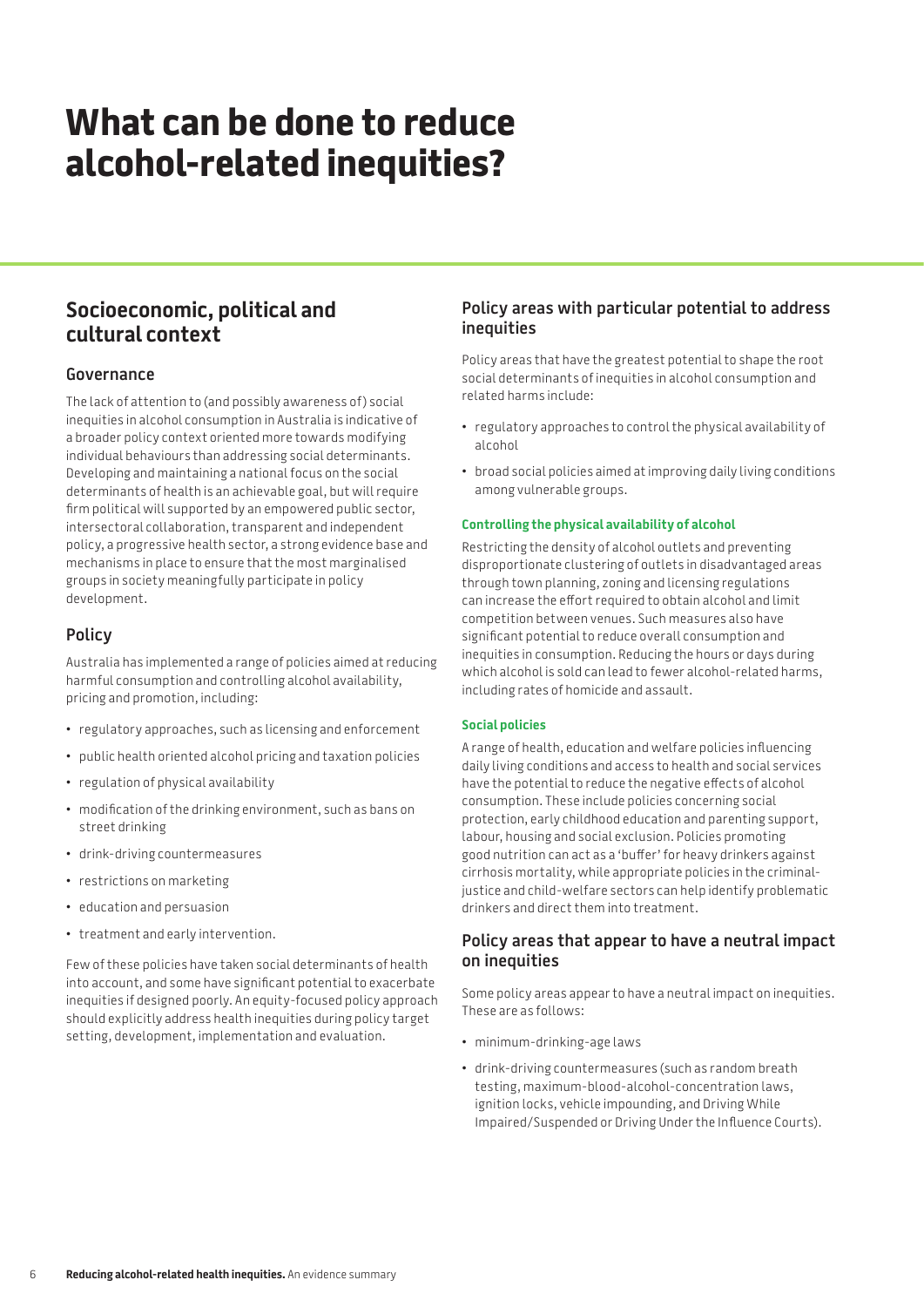# **What can be done to reduce alcohol-related inequities?**

# **Socioeconomic, political and cultural context**

### **Governance**

The lack of attention to (and possibly awareness of ) social inequities in alcohol consumption in Australia is indicative of a broader policy context oriented more towards modifying individual behaviours than addressing social determinants. Developing and maintaining a national focus on the social determinants of health is an achievable goal, but will require firm political will supported by an empowered public sector, intersectoral collaboration, transparent and independent policy, a progressive health sector, a strong evidence base and mechanisms in place to ensure that the most marginalised groups in society meaningfully participate in policy development.

## **Policy**

Australia has implemented a range of policies aimed at reducing harmful consumption and controlling alcohol availability, pricing and promotion, including:

- • regulatory approaches, such as licensing and enforcement
- • public health oriented alcohol pricing and taxation policies
- • regulation of physical availability
- modification of the drinking environment, such as bans on street drinking
- • drink-driving countermeasures
- • restrictions on marketing
- • education and persuasion
- treatment and early intervention.

Few of these policies have taken social determinants of health into account, and some have significant potential to exacerbate inequities if designed poorly. An equity-focused policy approach should explicitly address health inequities during policy target setting, development, implementation and evaluation.

### **Policy areas with particular potential to address inequities**

Policy areas that have the greatest potential to shape the root social determinants of inequities in alcohol consumption and related harms include:

- • regulatory approaches to control the physical availability of alcohol
- broad social policies aimed at improving daily living conditions among vulnerable groups.

#### **Controlling the physical availability of alcohol**

Restricting the density of alcohol outlets and preventing disproportionate clustering of outlets in disadvantaged areas through town planning, zoning and licensing regulations can increase the effort required to obtain alcohol and limit competition between venues. Such measures also have significant potential to reduce overall consumption and inequities in consumption. Reducing the hours or days during which alcohol is sold can lead to fewer alcohol-related harms, including rates of homicide and assault.

#### **Social policies**

A range of health, education and welfare policies influencing daily living conditions and access to health and social services have the potential to reduce the negative effects of alcohol consumption. These include policies concerning social protection, early childhood education and parenting support, labour, housing and social exclusion. Policies promoting good nutrition can act as a 'buffer' for heavy drinkers against cirrhosis mortality, while appropriate policies in the criminaljustice and child-welfare sectors can help identify problematic drinkers and direct them into treatment.

## **Policy areas that appear to have a neutral impact on inequities**

Some policy areas appear to have a neutral impact on inequities. These are as follows:

- • minimum-drinking-age laws
- • drink-driving countermeasures (such as random breath testing, maximum-blood-alcohol-concentration laws, ignition locks, vehicle impounding, and Driving While Impaired/Suspended or Driving Under the Influence Courts).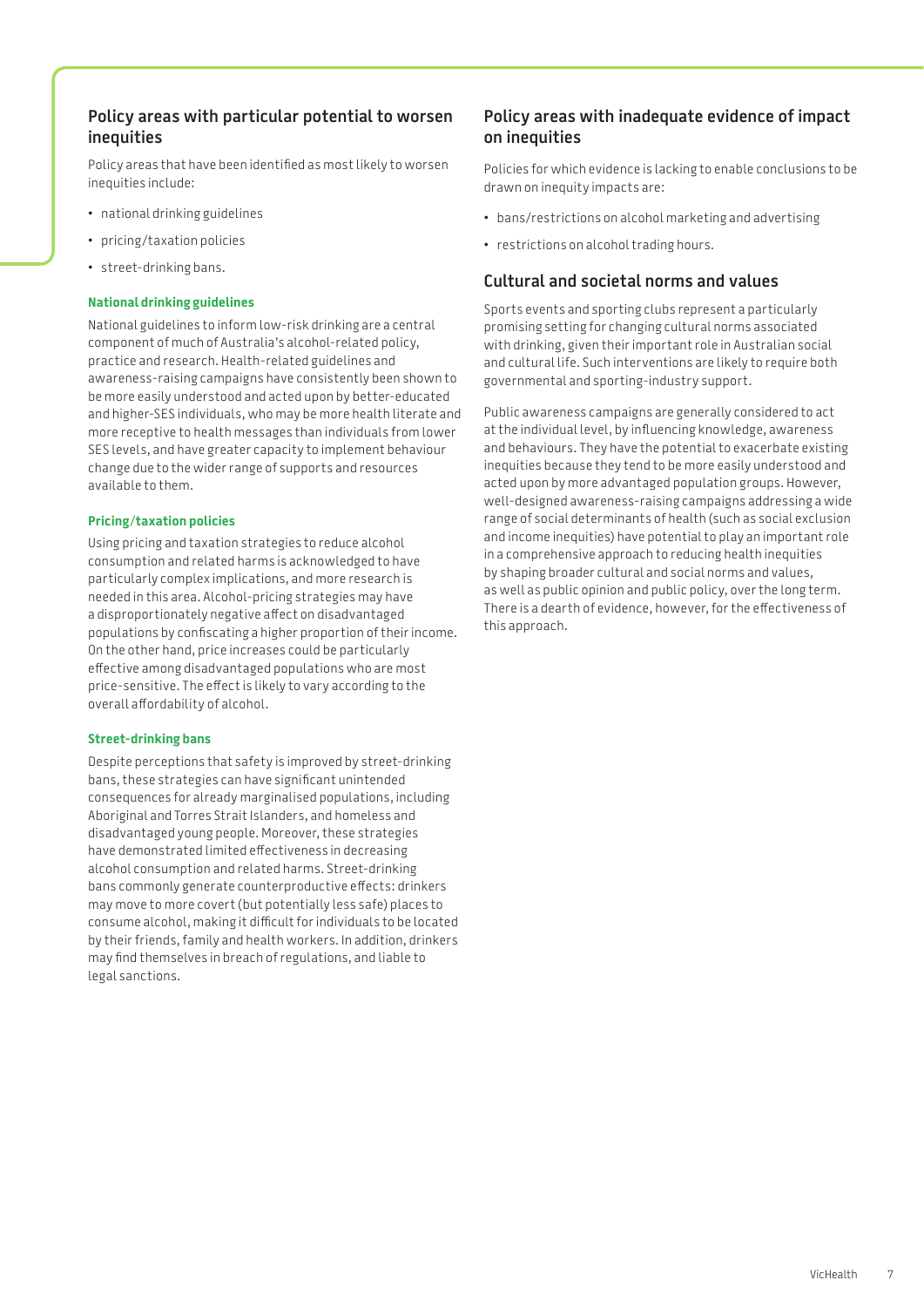### **Policy areas with particular potential to worsen inequities**

Policy areas that have been identified as most likely to worsen inequities include:

- • national drinking guidelines
- • pricing/taxation policies
- street-drinking bans.

#### **National drinking guidelines**

National guidelines to inform low-risk drinking are a central component of much of Australia's alcohol-related policy, practice and research. Health-related guidelines and awareness-raising campaigns have consistently been shown to be more easily understood and acted upon by better-educated and higher-SES individuals, who may be more health literate and more receptive to health messages than individuals from lower SES levels, and have greater capacity to implement behaviour change due to the wider range of supports and resources available to them.

#### **Pricing/taxation policies**

Using pricing and taxation strategies to reduce alcohol consumption and related harms is acknowledged to have particularly complex implications, and more research is needed in this area. Alcohol-pricing strategies may have a disproportionately negative affect on disadvantaged populations by confiscating a higher proportion of their income. On the other hand, price increases could be particularly effective among disadvantaged populations who are most price-sensitive. The effect is likely to vary according to the overall affordability of alcohol.

#### **Street-drinking bans**

Despite perceptions that safety is improved by street-drinking bans, these strategies can have significant unintended consequences for already marginalised populations, including Aboriginal and Torres Strait Islanders, and homeless and disadvantaged young people. Moreover, these strategies have demonstrated limited effectiveness in decreasing alcohol consumption and related harms. Street-drinking bans commonly generate counterproductive effects: drinkers may move to more covert (but potentially less safe) places to consume alcohol, making it difficult for individuals to be located by their friends, family and health workers. In addition, drinkers may find themselves in breach of regulations, and liable to legal sanctions.

## **Policy areas with inadequate evidence of impact on inequities**

Policies for which evidence is lacking to enable conclusions to be drawn on inequity impacts are:

- • bans/restrictions on alcohol marketing and advertising
- restrictions on alcohol trading hours.

# **Cultural and societal norms and values**

Sports events and sporting clubs represent a particularly promising setting for changing cultural norms associated with drinking, given their important role in Australian social and cultural life. Such interventions are likely to require both governmental and sporting-industry support.

Public awareness campaigns are generally considered to act at the individual level, by influencing knowledge, awareness and behaviours. They have the potential to exacerbate existing inequities because they tend to be more easily understood and acted upon by more advantaged population groups. However, well-designed awareness-raising campaigns addressing a wide range of social determinants of health (such as social exclusion and income inequities) have potential to play an important role in a comprehensive approach to reducing health inequities by shaping broader cultural and social norms and values, as well as public opinion and public policy, over the long term. There is a dearth of evidence, however, for the effectiveness of this approach.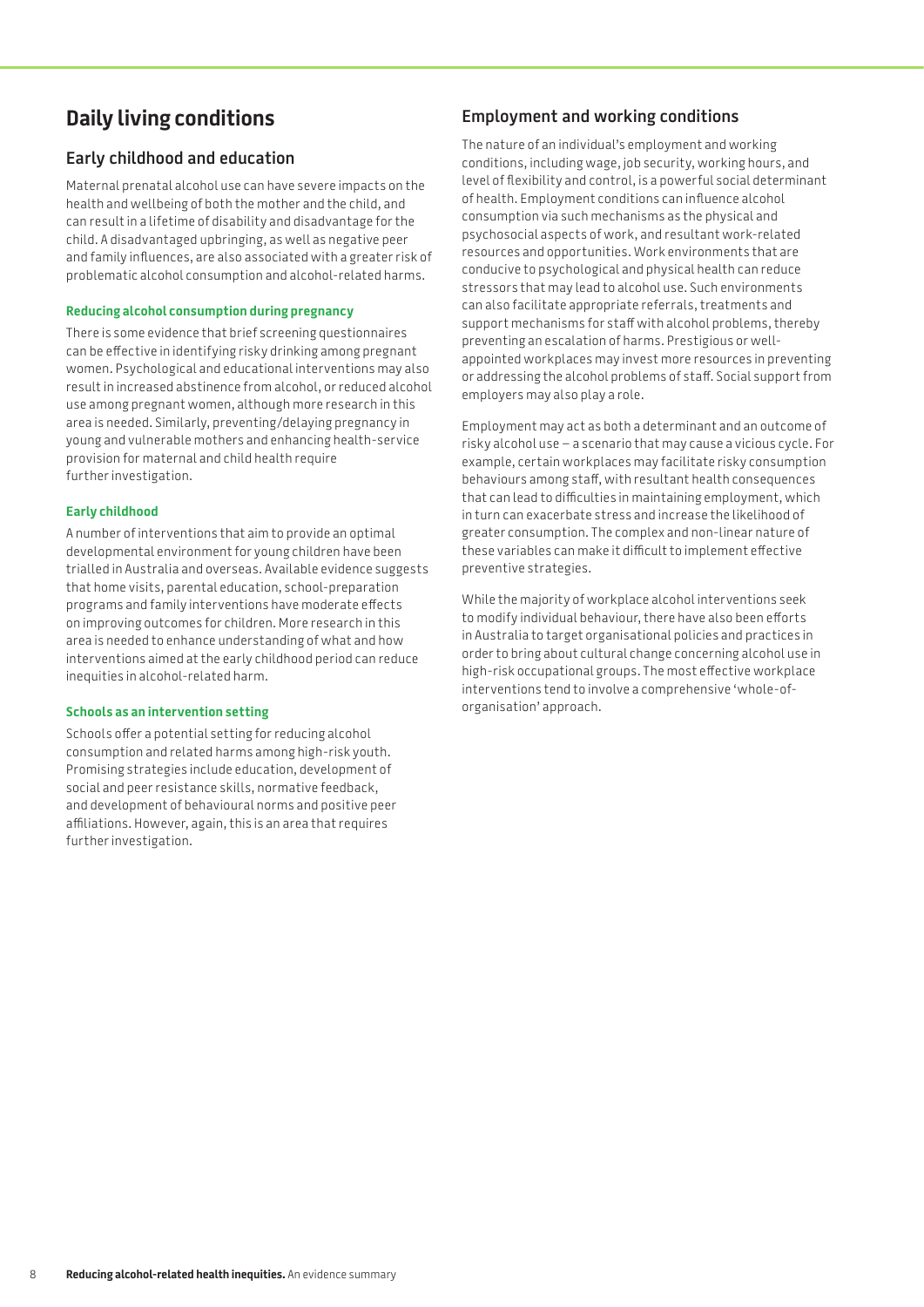# **Daily living conditions**

# **Early childhood and education**

Maternal prenatal alcohol use can have severe impacts on the health and wellbeing of both the mother and the child, and can result in a lifetime of disability and disadvantage for the child. A disadvantaged upbringing, as well as negative peer and family influences, are also associated with a greater risk of problematic alcohol consumption and alcohol-related harms.

#### **Reducing alcohol consumption during pregnancy**

There is some evidence that brief screening questionnaires can be effective in identifying risky drinking among pregnant women. Psychological and educational interventions may also result in increased abstinence from alcohol, or reduced alcohol use among pregnant women, although more research in this area is needed. Similarly, preventing/delaying pregnancy in young and vulnerable mothers and enhancing health-service provision for maternal and child health require further investigation.

#### **Early childhood**

A number of interventions that aim to provide an optimal developmental environment for young children have been trialled in Australia and overseas. Available evidence suggests that home visits, parental education, school-preparation programs and family interventions have moderate effects on improving outcomes for children. More research in this area is needed to enhance understanding of what and how interventions aimed at the early childhood period can reduce inequities in alcohol-related harm.

#### **Schools as an intervention setting**

Schools offer a potential setting for reducing alcohol consumption and related harms among high-risk youth. Promising strategies include education, development of social and peer resistance skills, normative feedback, and development of behavioural norms and positive peer affiliations. However, again, this is an area that requires further investigation.

# **Employment and working conditions**

The nature of an individual's employment and working conditions, including wage, job security, working hours, and level of flexibility and control, is a powerful social determinant of health. Employment conditions can influence alcohol consumption via such mechanisms as the physical and psychosocial aspects of work, and resultant work-related resources and opportunities. Work environments that are conducive to psychological and physical health can reduce stressors that may lead to alcohol use. Such environments can also facilitate appropriate referrals, treatments and support mechanisms for staff with alcohol problems, thereby preventing an escalation of harms. Prestigious or wellappointed workplaces may invest more resources in preventing or addressing the alcohol problems of staff. Social support from employers may also play a role.

Employment may act as both a determinant and an outcome of risky alcohol use – a scenario that may cause a vicious cycle. For example, certain workplaces may facilitate risky consumption behaviours among staff, with resultant health consequences that can lead to difficulties in maintaining employment, which in turn can exacerbate stress and increase the likelihood of greater consumption. The complex and non-linear nature of these variables can make it difficult to implement effective preventive strategies.

While the majority of workplace alcohol interventions seek to modify individual behaviour, there have also been efforts in Australia to target organisational policies and practices in order to bring about cultural change concerning alcohol use in high-risk occupational groups. The most effective workplace interventions tend to involve a comprehensive 'whole-oforganisation' approach.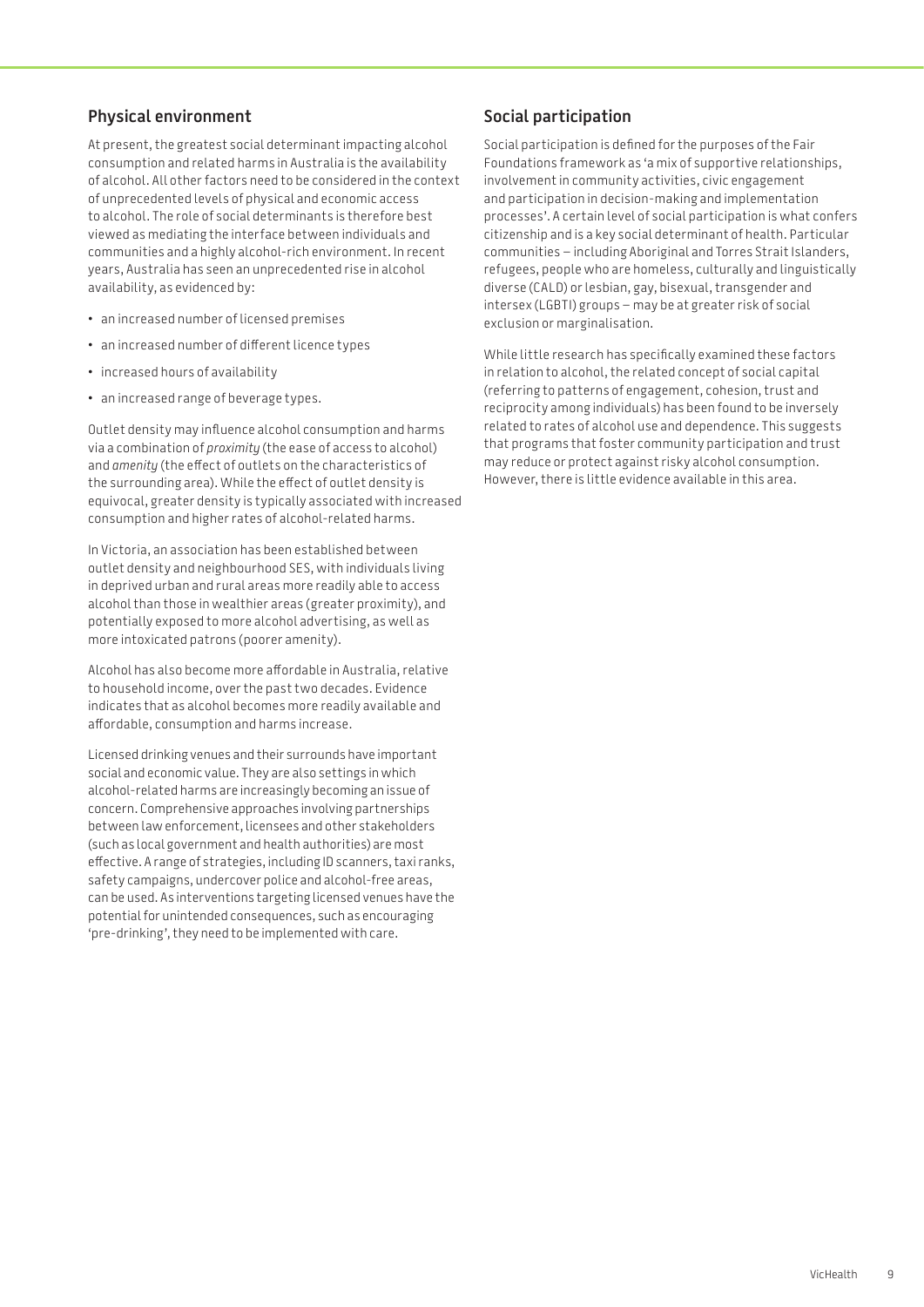## **Physical environment**

At present, the greatest social determinant impacting alcohol consumption and related harms in Australia is the availability of alcohol. All other factors need to be considered in the context of unprecedented levels of physical and economic access to alcohol. The role of social determinants is therefore best viewed as mediating the interface between individuals and communities and a highly alcohol-rich environment. In recent years, Australia has seen an unprecedented rise in alcohol availability, as evidenced by:

- • an increased number of licensed premises
- • an increased number of different licence types
- increased hours of availability
- • an increased range of beverage types.

Outlet density may influence alcohol consumption and harms via a combination of *proximity* (the ease of access to alcohol) and *amenity* (the effect of outlets on the characteristics of the surrounding area). While the effect of outlet density is equivocal, greater density is typically associated with increased consumption and higher rates of alcohol-related harms.

In Victoria, an association has been established between outlet density and neighbourhood SES, with individuals living in deprived urban and rural areas more readily able to access alcohol than those in wealthier areas (greater proximity), and potentially exposed to more alcohol advertising, as well as more intoxicated patrons (poorer amenity).

Alcohol has also become more affordable in Australia, relative to household income, over the past two decades. Evidence indicates that as alcohol becomes more readily available and affordable, consumption and harms increase.

Licensed drinking venues and their surrounds have important social and economic value. They are also settings in which alcohol-related harms are increasingly becoming an issue of concern. Comprehensive approaches involving partnerships between law enforcement, licensees and other stakeholders (such as local government and health authorities) are most effective. A range of strategies, including ID scanners, taxi ranks, safety campaigns, undercover police and alcohol-free areas, can be used. As interventions targeting licensed venues have the potential for unintended consequences, such as encouraging 'pre-drinking', they need to be implemented with care.

# **Social participation**

Social participation is defined for the purposes of the Fair Foundations framework as 'a mix of supportive relationships, involvement in community activities, civic engagement and participation in decision-making and implementation processes'. A certain level of social participation is what confers citizenship and is a key social determinant of health. Particular communities – including Aboriginal and Torres Strait Islanders, refugees, people who are homeless, culturally and linguistically diverse (CALD) or lesbian, gay, bisexual, transgender and intersex (LGBTI) groups – may be at greater risk of social exclusion or marginalisation.

While little research has specifically examined these factors in relation to alcohol, the related concept of social capital (referring to patterns of engagement, cohesion, trust and reciprocity among individuals) has been found to be inversely related to rates of alcohol use and dependence. This suggests that programs that foster community participation and trust may reduce or protect against risky alcohol consumption. However, there is little evidence available in this area.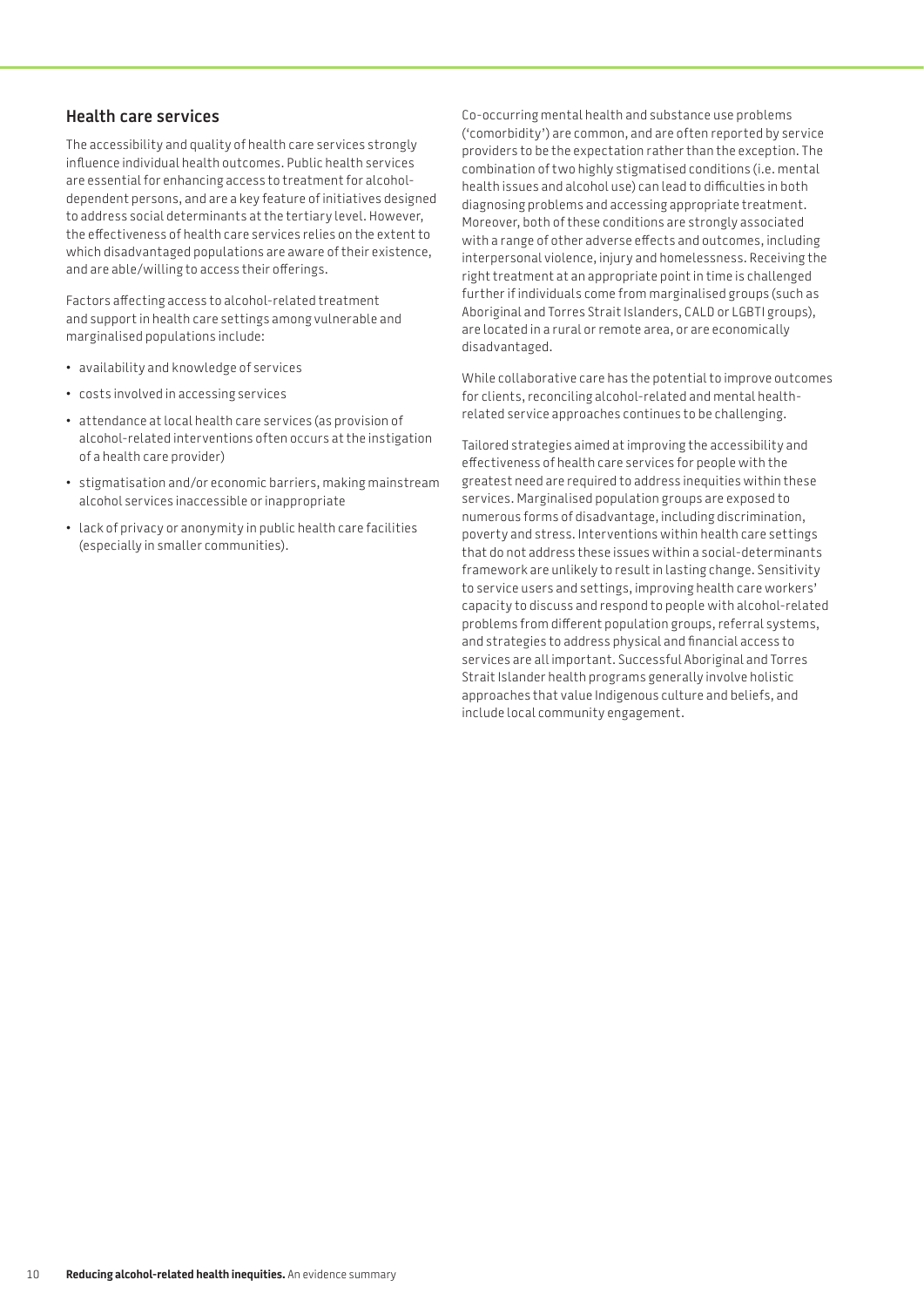### **Health care services**

The accessibility and quality of health care services strongly influence individual health outcomes. Public health services are essential for enhancing access to treatment for alcoholdependent persons, and are a key feature of initiatives designed to address social determinants at the tertiary level. However, the effectiveness of health care services relies on the extent to which disadvantaged populations are aware of their existence, and are able/willing to access their offerings.

Factors affecting access to alcohol-related treatment and support in health care settings among vulnerable and marginalised populations include:

- • availability and knowledge of services
- • costs involved in accessing services
- • attendance at local health care services (as provision of alcohol-related interventions often occurs at the instigation of a health care provider)
- • stigmatisation and/or economic barriers, making mainstream alcohol services inaccessible or inappropriate
- Lack of privacy or anonymity in public health care facilities (especially in smaller communities).

Co-occurring mental health and substance use problems ('comorbidity') are common, and are often reported by service providers to be the expectation rather than the exception. The combination of two highly stigmatised conditions (i.e. mental health issues and alcohol use) can lead to difficulties in both diagnosing problems and accessing appropriate treatment. Moreover, both of these conditions are strongly associated with a range of other adverse effects and outcomes, including interpersonal violence, injury and homelessness. Receiving the right treatment at an appropriate point in time is challenged further if individuals come from marginalised groups (such as Aboriginal and Torres Strait Islanders, CALD or LGBTI groups), are located in a rural or remote area, or are economically disadvantaged.

While collaborative care has the potential to improve outcomes for clients, reconciling alcohol-related and mental healthrelated service approaches continues to be challenging.

Tailored strategies aimed at improving the accessibility and effectiveness of health care services for people with the greatest need are required to address inequities within these services. Marginalised population groups are exposed to numerous forms of disadvantage, including discrimination, poverty and stress. Interventions within health care settings that do not address these issues within a social-determinants framework are unlikely to result in lasting change. Sensitivity to service users and settings, improving health care workers' capacity to discuss and respond to people with alcohol-related problems from different population groups, referral systems, and strategies to address physical and financial access to services are all important. Successful Aboriginal and Torres Strait Islander health programs generally involve holistic approaches that value Indigenous culture and beliefs, and include local community engagement.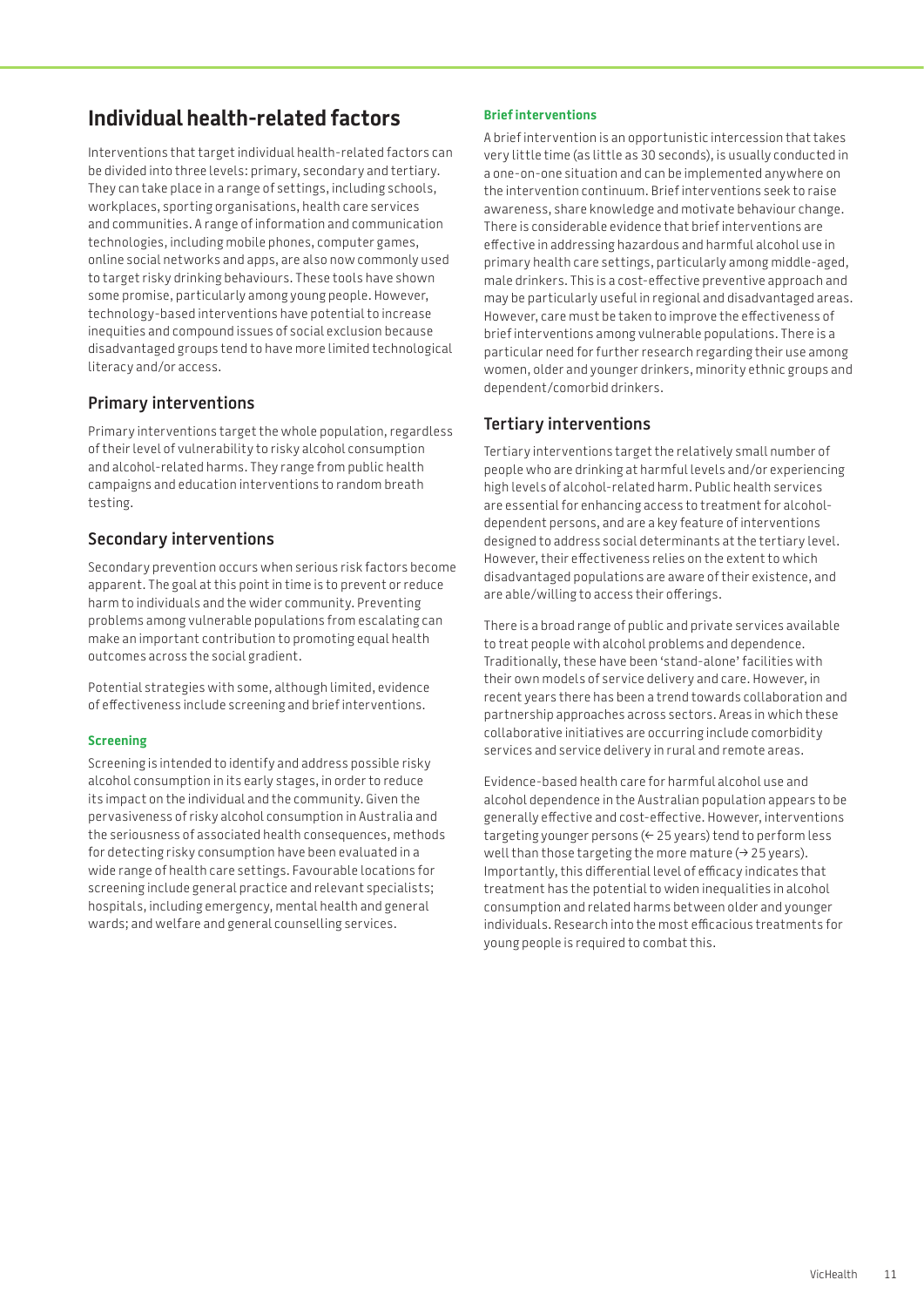# **Individual health-related factors**

Interventions that target individual health-related factors can be divided into three levels: primary, secondary and tertiary. They can take place in a range of settings, including schools, workplaces, sporting organisations, health care services and communities. A range of information and communication technologies, including mobile phones, computer games, online social networks and apps, are also now commonly used to target risky drinking behaviours. These tools have shown some promise, particularly among young people. However, technology-based interventions have potential to increase inequities and compound issues of social exclusion because disadvantaged groups tend to have more limited technological literacy and/or access.

# **Primary interventions**

Primary interventions target the whole population, regardless of their level of vulnerability to risky alcohol consumption and alcohol-related harms. They range from public health campaigns and education interventions to random breath testing.

## **Secondary interventions**

Secondary prevention occurs when serious risk factors become apparent. The goal at this point in time is to prevent or reduce harm to individuals and the wider community. Preventing problems among vulnerable populations from escalating can make an important contribution to promoting equal health outcomes across the social gradient.

Potential strategies with some, although limited, evidence of effectiveness include screening and brief interventions.

#### **Screening**

Screening is intended to identify and address possible risky alcohol consumption in its early stages, in order to reduce its impact on the individual and the community. Given the pervasiveness of risky alcohol consumption in Australia and the seriousness of associated health consequences, methods for detecting risky consumption have been evaluated in a wide range of health care settings. Favourable locations for screening include general practice and relevant specialists; hospitals, including emergency, mental health and general wards; and welfare and general counselling services.

#### **Brief interventions**

A brief intervention is an opportunistic intercession that takes very little time (as little as 30 seconds), is usually conducted in a one-on-one situation and can be implemented anywhere on the intervention continuum. Brief interventions seek to raise awareness, share knowledge and motivate behaviour change. There is considerable evidence that brief interventions are effective in addressing hazardous and harmful alcohol use in primary health care settings, particularly among middle-aged, male drinkers. This is a cost-effective preventive approach and may be particularly useful in regional and disadvantaged areas. However, care must be taken to improve the effectiveness of brief interventions among vulnerable populations. There is a particular need for further research regarding their use among women, older and younger drinkers, minority ethnic groups and dependent/comorbid drinkers.

# **Tertiary interventions**

Tertiary interventions target the relatively small number of people who are drinking at harmful levels and/or experiencing high levels of alcohol-related harm. Public health services are essential for enhancing access to treatment for alcoholdependent persons, and are a key feature of interventions designed to address social determinants at the tertiary level. However, their effectiveness relies on the extent to which disadvantaged populations are aware of their existence, and are able/willing to access their offerings.

There is a broad range of public and private services available to treat people with alcohol problems and dependence. Traditionally, these have been 'stand-alone' facilities with their own models of service delivery and care. However, in recent years there has been a trend towards collaboration and partnership approaches across sectors. Areas in which these collaborative initiatives are occurring include comorbidity services and service delivery in rural and remote areas.

Evidence-based health care for harmful alcohol use and alcohol dependence in the Australian population appears to be generally effective and cost-effective. However, interventions targeting younger persons (< 25 years) tend to perform less well than those targeting the more mature  $(3 25$  years). Importantly, this differential level of efficacy indicates that treatment has the potential to widen inequalities in alcohol consumption and related harms between older and younger individuals. Research into the most efficacious treatments for young people is required to combat this.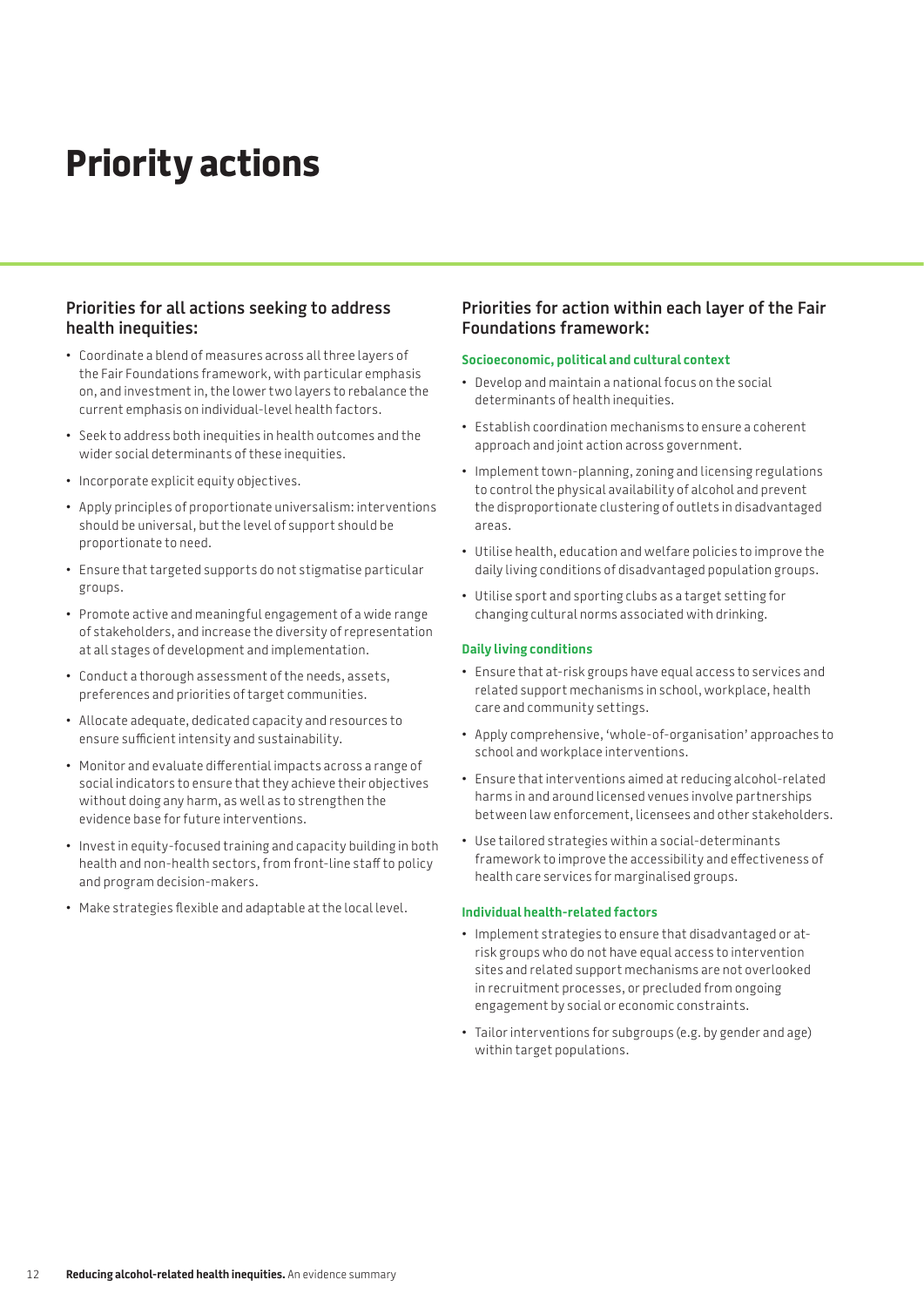# **Priority actions**

### **Priorities for all actions seeking to address health inequities:**

- • Coordinate a blend of measures across all three layers of the Fair Foundations framework, with particular emphasis on, and investment in, the lower two layers to rebalance the current emphasis on individual-level health factors.
- Seek to address both inequities in health outcomes and the wider social determinants of these inequities.
- Incorporate explicit equity objectives.
- • Apply principles of proportionate universalism: interventions should be universal, but the level of support should be proportionate to need.
- • Ensure that targeted supports do not stigmatise particular groups.
- • Promote active and meaningful engagement of a wide range of stakeholders, and increase the diversity of representation at all stages of development and implementation.
- • Conduct a thorough assessment of the needs, assets, preferences and priorities of target communities.
- • Allocate adequate, dedicated capacity and resources to ensure sufficient intensity and sustainability.
- • Monitor and evaluate differential impacts across a range of social indicators to ensure that they achieve their objectives without doing any harm, as well as to strengthen the evidence base for future interventions.
- Invest in equity-focused training and capacity building in both health and non-health sectors, from front-line staff to policy and program decision-makers.
- • Make strategies flexible and adaptable at the local level.

### **Priorities for action within each layer of the Fair Foundations framework:**

#### **Socioeconomic, political and cultural context**

- Develop and maintain a national focus on the social determinants of health inequities.
- • Establish coordination mechanisms to ensure a coherent approach and joint action across government.
- Implement town-planning, zoning and licensing regulations to control the physical availability of alcohol and prevent the disproportionate clustering of outlets in disadvantaged areas.
- • Utilise health, education and welfare policies to improve the daily living conditions of disadvantaged population groups.
- • Utilise sport and sporting clubs as a target setting for changing cultural norms associated with drinking.

#### **Daily living conditions**

- • Ensure that at-risk groups have equal access to services and related support mechanisms in school, workplace, health care and community settings.
- • Apply comprehensive, 'whole-of-organisation' approaches to school and workplace interventions.
- • Ensure that interventions aimed at reducing alcohol-related harms in and around licensed venues involve partnerships between law enforcement, licensees and other stakeholders.
- • Use tailored strategies within a social-determinants framework to improve the accessibility and effectiveness of health care services for marginalised groups.

#### **Individual health-related factors**

- • Implement strategies to ensure that disadvantaged or atrisk groups who do not have equal access to intervention sites and related support mechanisms are not overlooked in recruitment processes, or precluded from ongoing engagement by social or economic constraints.
- • Tailor interventions for subgroups (e.g. by gender and age) within target populations.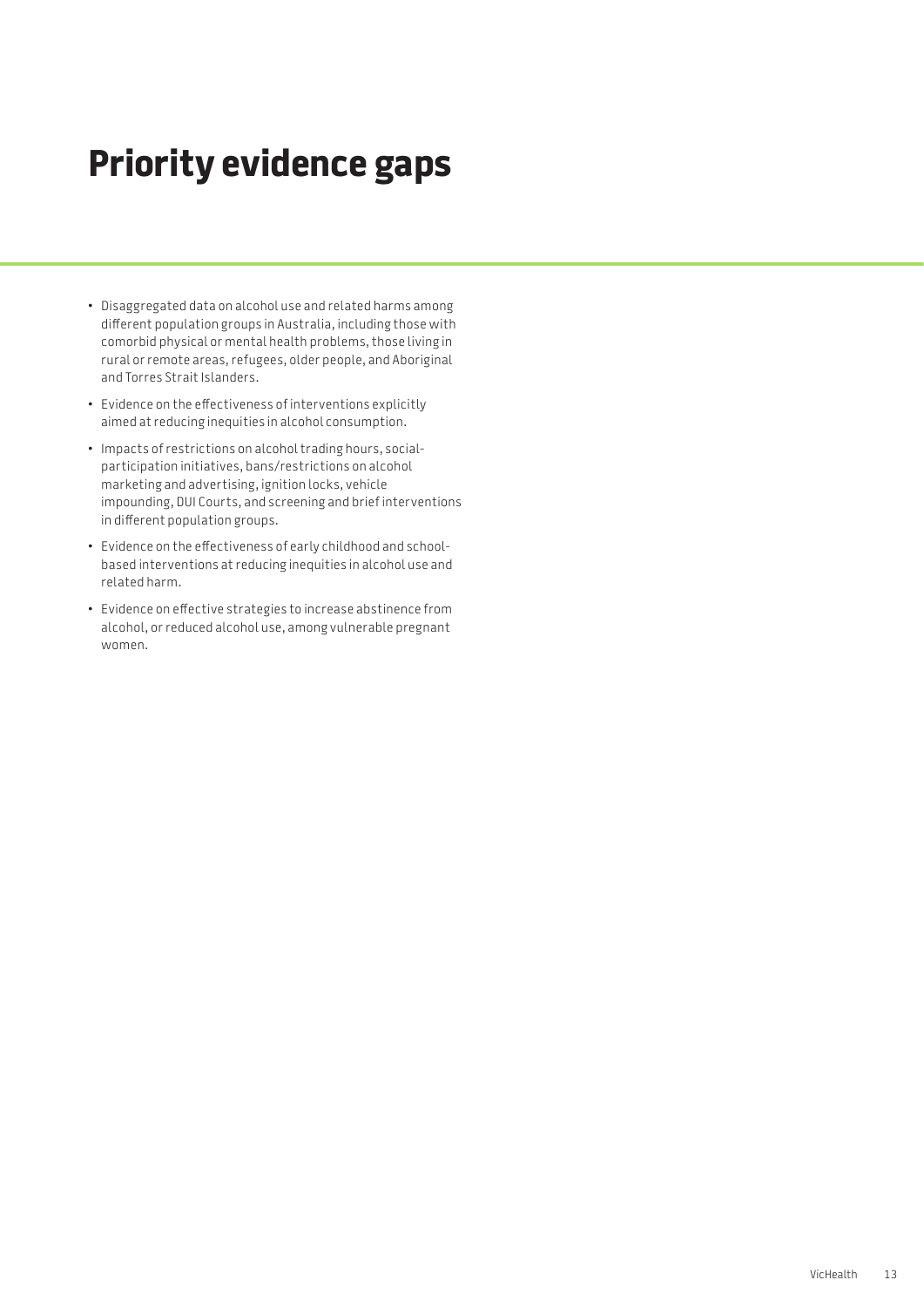# **Priority evidence gaps**

- • Disaggregated data on alcohol use and related harms among different population groups in Australia, including those with comorbid physical or mental health problems, those living in rural or remote areas, refugees, older people, and Aboriginal and Torres Strait Islanders.
- • Evidence on the effectiveness of interventions explicitly aimed at reducing inequities in alcohol consumption.
- • Impacts of restrictions on alcohol trading hours, socialparticipation initiatives, bans/restrictions on alcohol marketing and advertising, ignition locks, vehicle impounding, DUI Courts, and screening and brief interventions in different population groups.
- • Evidence on the effectiveness of early childhood and schoolbased interventions at reducing inequities in alcohol use and related harm.
- • Evidence on effective strategies to increase abstinence from alcohol, or reduced alcohol use, among vulnerable pregnant women.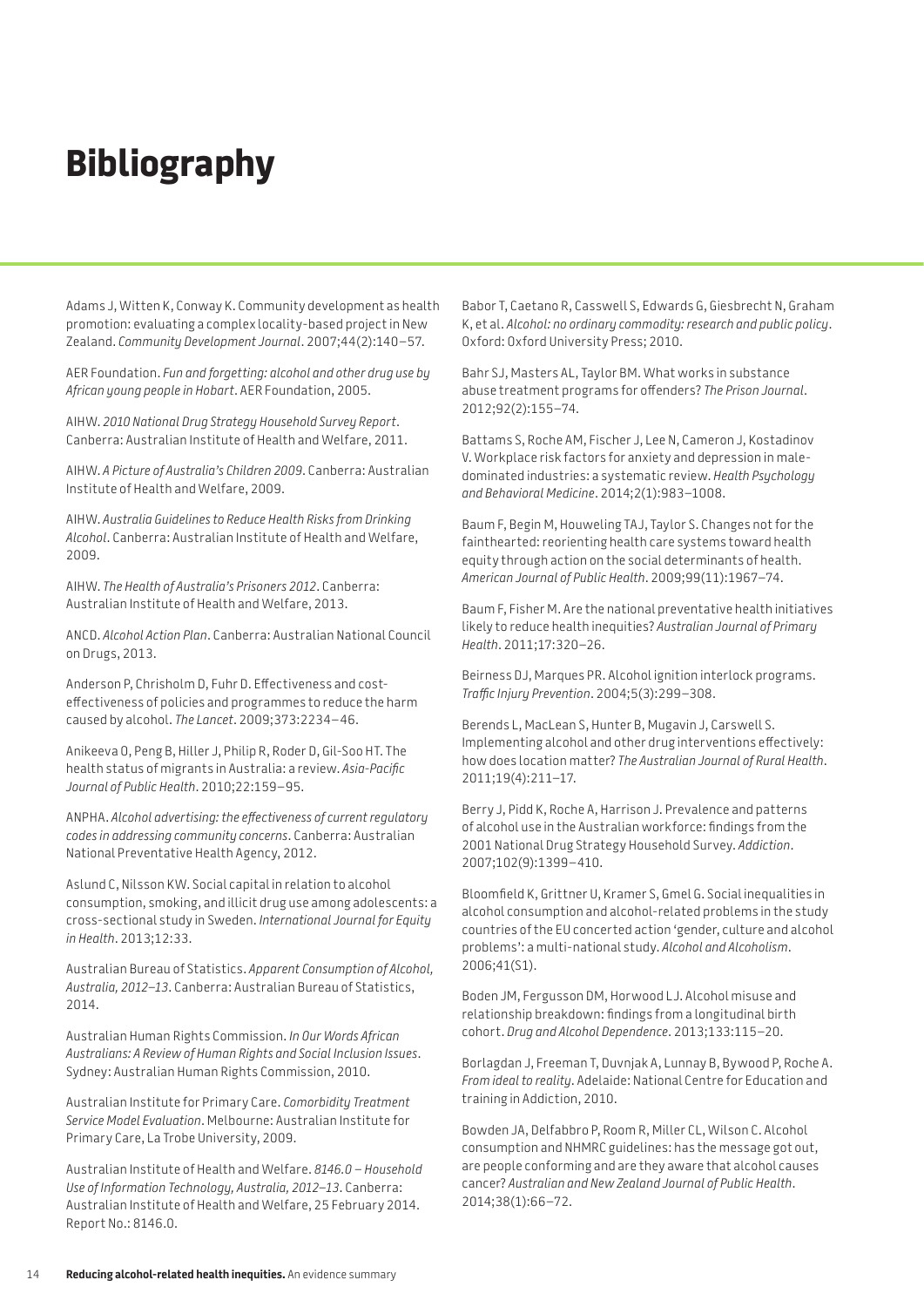# **Bibliography**

Adams J, Witten K, Conway K. Community development as health promotion: evaluating a complex locality-based project in New Zealand. *Community Development Journal*. 2007;44(2):140–57.

AER Foundation. *Fun and forgetting: alcohol and other drug use by African young people in Hobart*. AER Foundation, 2005.

AIHW. *2010 National Drug Strategy Household Survey Report*. Canberra: Australian Institute of Health and Welfare, 2011.

AIHW. *A Picture of Australia's Children 2009*. Canberra: Australian Institute of Health and Welfare, 2009.

AIHW. *Australia Guidelines to Reduce Health Risks from Drinking Alcohol*. Canberra: Australian Institute of Health and Welfare, 2009.

AIHW. *The Health of Australia's Prisoners 2012*. Canberra: Australian Institute of Health and Welfare, 2013.

ANCD. *Alcohol Action Plan*. Canberra: Australian National Council on Drugs, 2013.

Anderson P, Chrisholm D, Fuhr D. Effectiveness and costeffectiveness of policies and programmes to reduce the harm caused by alcohol. *The Lancet*. 2009;373:2234–46.

Anikeeva O, Peng B, Hiller J, Philip R, Roder D, Gil-Soo HT. The health status of migrants in Australia: a review. *Asia-Pacific Journal of Public Health*. 2010;22:159–95.

ANPHA. *Alcohol advertising: the effectiveness of current regulatory codes in addressing community concerns*. Canberra: Australian National Preventative Health Agency, 2012.

Aslund C, Nilsson KW. Social capital in relation to alcohol consumption, smoking, and illicit drug use among adolescents: a cross-sectional study in Sweden. *International Journal for Equity in Health*. 2013;12:33.

Australian Bureau of Statistics. *Apparent Consumption of Alcohol, Australia, 2012–13*. Canberra: Australian Bureau of Statistics, 2014.

Australian Human Rights Commission. *In Our Words African Australians: A Review of Human Rights and Social Inclusion Issues*. Sydney: Australian Human Rights Commission, 2010.

Australian Institute for Primary Care. *Comorbidity Treatment Service Model Evaluation*. Melbourne: Australian Institute for Primary Care, La Trobe University, 2009.

Australian Institute of Health and Welfare. *8146.0 – Household Use of Information Technology, Australia, 2012–13*. Canberra: Australian Institute of Health and Welfare, 25 February 2014. Report No.: 8146.0.

Babor T, Caetano R, Casswell S, Edwards G, Giesbrecht N, Graham K, et al. *Alcohol: no ordinary commodity: research and public policy*. Oxford: Oxford University Press; 2010.

Bahr SJ, Masters AL, Taylor BM. What works in substance abuse treatment programs for offenders? *The Prison Journal*. 2012;92(2):155–74.

Battams S, Roche AM, Fischer J, Lee N, Cameron J, Kostadinov V. Workplace risk factors for anxiety and depression in maledominated industries: a systematic review. *Health Psychology and Behavioral Medicine*. 2014;2(1):983–1008.

Baum F, Begin M, Houweling TAJ, Taylor S. Changes not for the fainthearted: reorienting health care systems toward health equity through action on the social determinants of health. *American Journal of Public Health*. 2009;99(11):1967–74.

Baum F, Fisher M. Are the national preventative health initiatives likely to reduce health inequities? *Australian Journal of Primary Health*. 2011;17:320–26.

Beirness DJ, Marques PR. Alcohol ignition interlock programs. *Traffic Injury Prevention*. 2004;5(3):299–308.

Berends L, MacLean S, Hunter B, Mugavin J, Carswell S. Implementing alcohol and other drug interventions effectively: how does location matter? *The Australian Journal of Rural Health*. 2011;19(4):211–17.

Berry J, Pidd K, Roche A, Harrison J. Prevalence and patterns of alcohol use in the Australian workforce: findings from the 2001 National Drug Strategy Household Survey. *Addiction*. 2007;102(9):1399–410.

Bloomfield K, Grittner U, Kramer S, Gmel G. Social inequalities in alcohol consumption and alcohol-related problems in the study countries of the EU concerted action 'gender, culture and alcohol problems': a multi-national study. *Alcohol and Alcoholism*. 2006;41(S1).

Boden JM, Fergusson DM, Horwood LJ. Alcohol misuse and relationship breakdown: findings from a longitudinal birth cohort. *Drug and Alcohol Dependence*. 2013;133:115–20.

Borlagdan J, Freeman T, Duvnjak A, Lunnay B, Bywood P, Roche A. *From ideal to reality*. Adelaide: National Centre for Education and training in Addiction, 2010.

Bowden JA, Delfabbro P, Room R, Miller CL, Wilson C. Alcohol consumption and NHMRC guidelines: has the message got out, are people conforming and are they aware that alcohol causes cancer? *Australian and New Zealand Journal of Public Health*. 2014;38(1):66–72.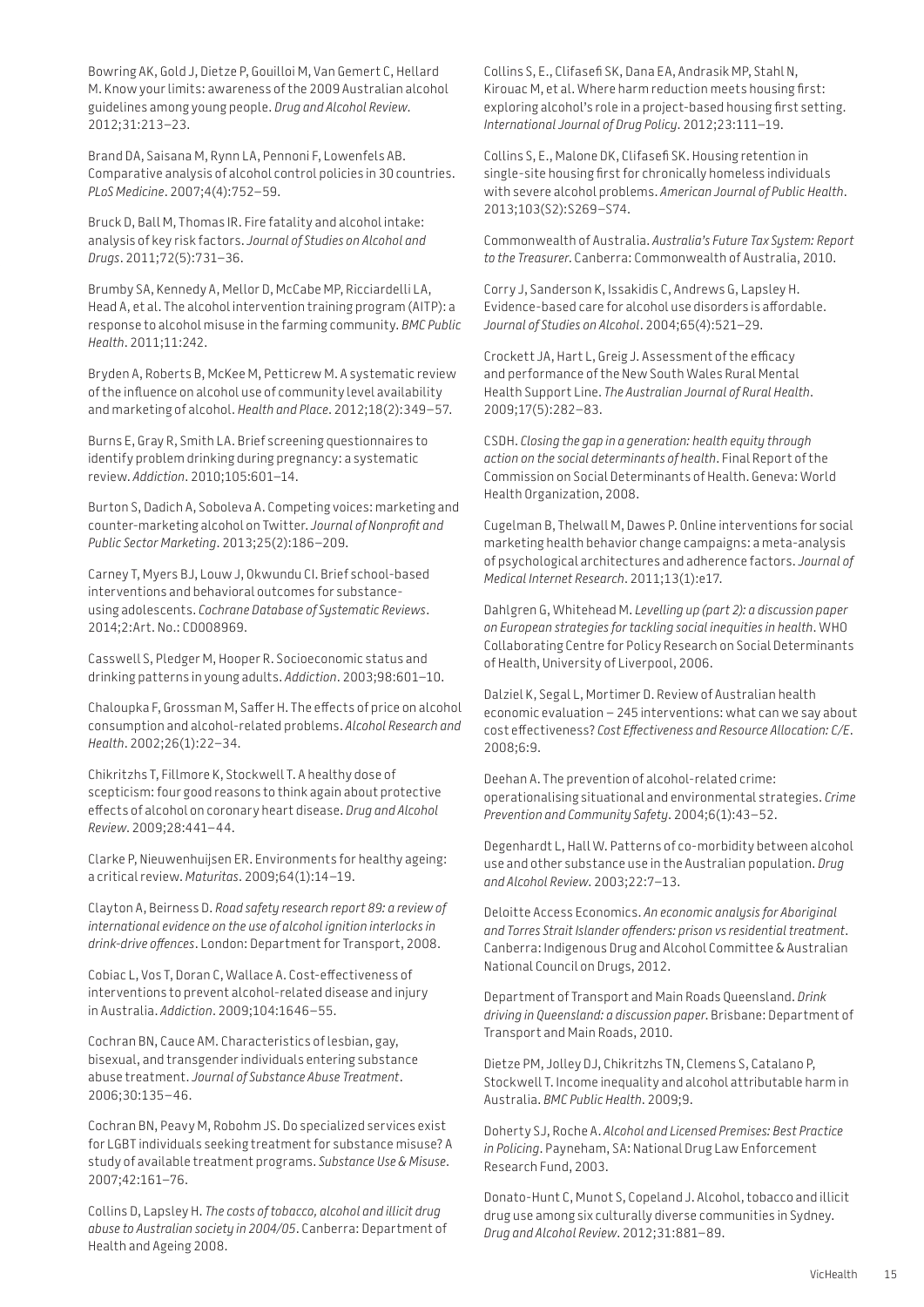Bowring AK, Gold J, Dietze P, Gouilloi M, Van Gemert C, Hellard M. Know your limits: awareness of the 2009 Australian alcohol guidelines among young people. *Drug and Alcohol Review*. 2012;31:213–23.

Brand DA, Saisana M, Rynn LA, Pennoni F, Lowenfels AB. Comparative analysis of alcohol control policies in 30 countries. *PLoS Medicine*. 2007;4(4):752–59.

Bruck D, Ball M, Thomas IR. Fire fatality and alcohol intake: analysis of key risk factors. *Journal of Studies on Alcohol and Drugs*. 2011;72(5):731–36.

Brumby SA, Kennedy A, Mellor D, McCabe MP, Ricciardelli LA, Head A, et al. The alcohol intervention training program (AITP): a response to alcohol misuse in the farming community. *BMC Public Health*. 2011;11:242.

Bryden A, Roberts B, McKee M, Petticrew M. A systematic review of the influence on alcohol use of community level availability and marketing of alcohol. *Health and Place*. 2012;18(2):349–57.

Burns E, Gray R, Smith LA. Brief screening questionnaires to identify problem drinking during pregnancy: a systematic review. *Addiction*. 2010;105:601–14.

Burton S, Dadich A, Soboleva A. Competing voices: marketing and counter-marketing alcohol on Twitter. *Journal of Nonprofit and Public Sector Marketing*. 2013;25(2):186–209.

Carney T, Myers BJ, Louw J, Okwundu CI. Brief school-based interventions and behavioral outcomes for substanceusing adolescents. *Cochrane Database of Systematic Reviews*. 2014;2:Art. No.: CD008969.

Casswell S, Pledger M, Hooper R. Socioeconomic status and drinking patterns in young adults. *Addiction*. 2003;98:601–10.

Chaloupka F, Grossman M, Saffer H. The effects of price on alcohol consumption and alcohol-related problems. *Alcohol Research and Health*. 2002;26(1):22–34.

Chikritzhs T, Fillmore K, Stockwell T. A healthy dose of scepticism: four good reasons to think again about protective effects of alcohol on coronary heart disease. *Drug and Alcohol Review*. 2009;28:441–44.

Clarke P, Nieuwenhuijsen ER. Environments for healthy ageing: a critical review. *Maturitas*. 2009;64(1):14–19.

Clayton A, Beirness D. *Road safety research report 89: a review of international evidence on the use of alcohol ignition interlocks in drink-drive offences*. London: Department for Transport, 2008.

Cobiac L, Vos T, Doran C, Wallace A. Cost-effectiveness of interventions to prevent alcohol-related disease and injury in Australia. *Addiction*. 2009;104:1646–55.

Cochran BN, Cauce AM. Characteristics of lesbian, gay, bisexual, and transgender individuals entering substance abuse treatment. *Journal of Substance Abuse Treatment*. 2006;30:135–46.

Cochran BN, Peavy M, Robohm JS. Do specialized services exist for LGBT individuals seeking treatment for substance misuse? A study of available treatment programs. *Substance Use & Misuse*. 2007;42:161–76.

Collins D, Lapsley H. *The costs of tobacco, alcohol and illicit drug abuse to Australian society in 2004/05*. Canberra: Department of Health and Ageing 2008.

Collins S, E., Clifasefi SK, Dana EA, Andrasik MP, Stahl N, Kirouac M, et al. Where harm reduction meets housing first: exploring alcohol's role in a project-based housing first setting. *International Journal of Drug Policy*. 2012;23:111–19.

Collins S, E., Malone DK, Clifasefi SK. Housing retention in single-site housing first for chronically homeless individuals with severe alcohol problems. *American Journal of Public Health*. 2013;103(S2):S269–S74.

Commonwealth of Australia. *Australia's Future Tax System: Report to the Treasurer*. Canberra: Commonwealth of Australia, 2010.

Corry J, Sanderson K, Issakidis C, Andrews G, Lapsley H. Evidence-based care for alcohol use disorders is affordable. *Journal of Studies on Alcohol*. 2004;65(4):521–29.

Crockett JA, Hart L, Greig J. Assessment of the efficacy and performance of the New South Wales Rural Mental Health Support Line. *The Australian Journal of Rural Health*. 2009;17(5):282–83.

CSDH. *Closing the gap in a generation: health equity through action on the social determinants of health*. Final Report of the Commission on Social Determinants of Health. Geneva: World Health Organization, 2008.

Cugelman B, Thelwall M, Dawes P. Online interventions for social marketing health behavior change campaigns: a meta-analysis of psychological architectures and adherence factors. *Journal of Medical Internet Research*. 2011;13(1):e17.

Dahlgren G, Whitehead M. *Levelling up (part 2): a discussion paper on European strategies for tackling social inequities in health*. WHO Collaborating Centre for Policy Research on Social Determinants of Health, University of Liverpool, 2006.

Dalziel K, Segal L, Mortimer D. Review of Australian health economic evaluation – 245 interventions: what can we say about cost effectiveness? *Cost Effectiveness and Resource Allocation: C/E*. 2008;6:9.

Deehan A. The prevention of alcohol-related crime: operationalising situational and environmental strategies. *Crime Prevention and Community Safety*. 2004;6(1):43–52.

Degenhardt L, Hall W. Patterns of co-morbidity between alcohol use and other substance use in the Australian population. *Drug and Alcohol Review*. 2003;22:7–13.

Deloitte Access Economics. *An economic analysis for Aboriginal and Torres Strait Islander offenders: prison vs residential treatment*. Canberra: Indigenous Drug and Alcohol Committee & Australian National Council on Drugs, 2012.

Department of Transport and Main Roads Queensland. *Drink driving in Queensland: a discussion paper*. Brisbane: Department of Transport and Main Roads, 2010.

Dietze PM, Jolley DJ, Chikritzhs TN, Clemens S, Catalano P, Stockwell T. Income inequality and alcohol attributable harm in Australia. *BMC Public Health*. 2009;9.

Doherty SJ, Roche A. *Alcohol and Licensed Premises: Best Practice in Policing*. Payneham, SA: National Drug Law Enforcement Research Fund, 2003.

Donato-Hunt C, Munot S, Copeland J. Alcohol, tobacco and illicit drug use among six culturally diverse communities in Sydney. *Drug and Alcohol Review*. 2012;31:881–89.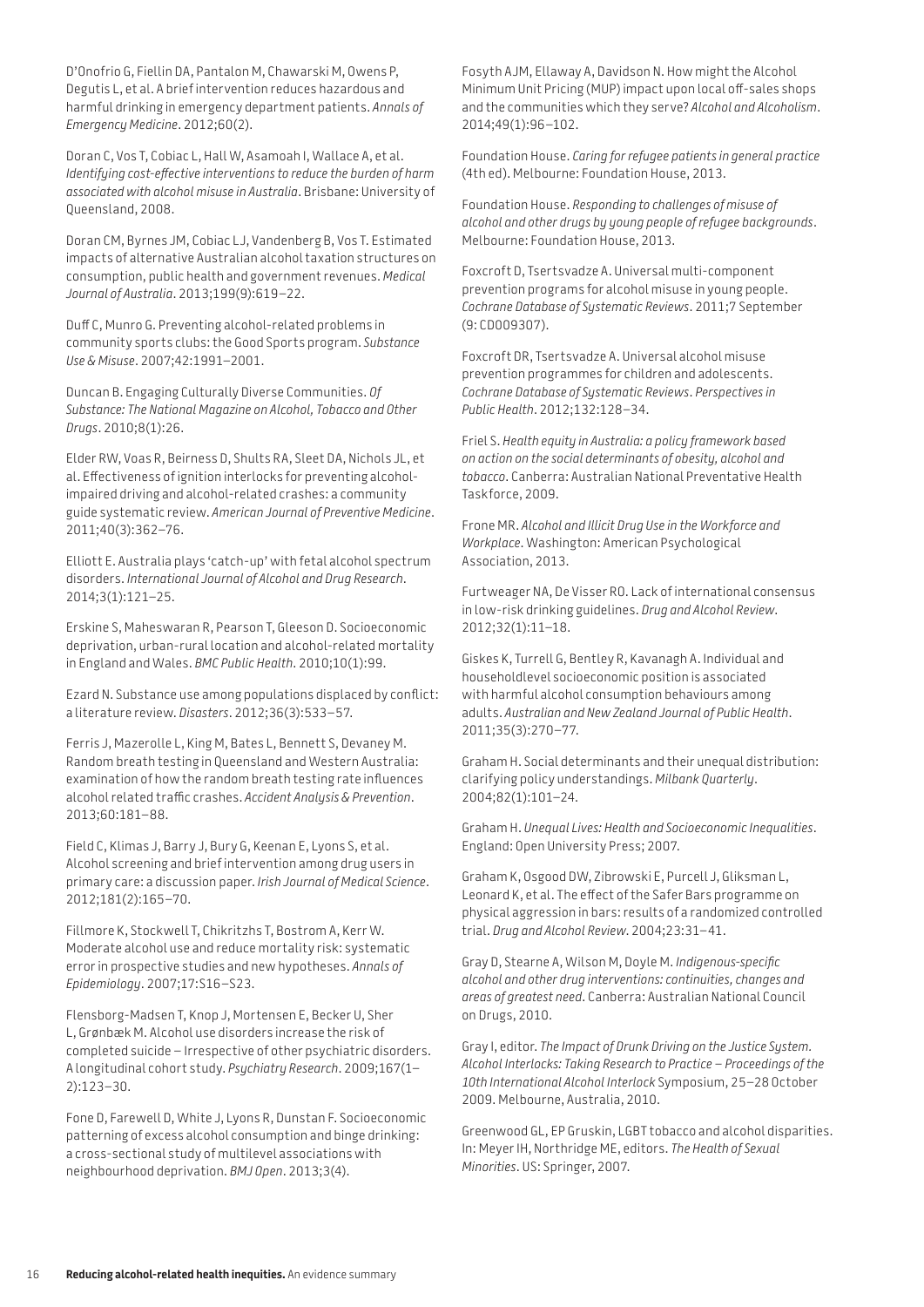D'Onofrio G, Fiellin DA, Pantalon M, Chawarski M, Owens P, Degutis L, et al. A brief intervention reduces hazardous and harmful drinking in emergency department patients. *Annals of Emergency Medicine*. 2012;60(2).

Doran C, Vos T, Cobiac L, Hall W, Asamoah I, Wallace A, et al. *Identifying cost-effective interventions to reduce the burden of harm associated with alcohol misuse in Australia*. Brisbane: University of Queensland, 2008.

Doran CM, Byrnes JM, Cobiac LJ, Vandenberg B, Vos T. Estimated impacts of alternative Australian alcohol taxation structures on consumption, public health and government revenues. *Medical Journal of Australia*. 2013;199(9):619–22.

Duff C, Munro G. Preventing alcohol-related problems in community sports clubs: the Good Sports program. *Substance Use & Misuse*. 2007;42:1991–2001.

Duncan B. Engaging Culturally Diverse Communities. *Of Substance: The National Magazine on Alcohol, Tobacco and Other Drugs*. 2010;8(1):26.

Elder RW, Voas R, Beirness D, Shults RA, Sleet DA, Nichols JL, et al. Effectiveness of ignition interlocks for preventing alcoholimpaired driving and alcohol-related crashes: a community guide systematic review. *American Journal of Preventive Medicine*. 2011;40(3):362–76.

Elliott E. Australia plays 'catch-up' with fetal alcohol spectrum disorders. *International Journal of Alcohol and Drug Research*. 2014;3(1):121–25.

Erskine S, Maheswaran R, Pearson T, Gleeson D. Socioeconomic deprivation, urban-rural location and alcohol-related mortality in England and Wales. *BMC Public Health*. 2010;10(1):99.

Ezard N. Substance use among populations displaced by conflict: a literature review. *Disasters*. 2012;36(3):533–57.

Ferris J, Mazerolle L, King M, Bates L, Bennett S, Devaney M. Random breath testing in Queensland and Western Australia: examination of how the random breath testing rate influences alcohol related traffic crashes. *Accident Analysis & Prevention*. 2013;60:181–88.

Field C, Klimas J, Barry J, Bury G, Keenan E, Lyons S, et al. Alcohol screening and brief intervention among drug users in primary care: a discussion paper. *Irish Journal of Medical Science*. 2012;181(2):165–70.

Fillmore K, Stockwell T, Chikritzhs T, Bostrom A, Kerr W. Moderate alcohol use and reduce mortality risk: systematic error in prospective studies and new hypotheses. *Annals of Epidemiology*. 2007;17:S16–S23.

Flensborg-Madsen T, Knop J, Mortensen E, Becker U, Sher L, Grønbæk M. Alcohol use disorders increase the risk of completed suicide – Irrespective of other psychiatric disorders. A longitudinal cohort study. *Psychiatry Research*. 2009;167(1– 2):123–30.

Fone D, Farewell D, White J, Lyons R, Dunstan F. Socioeconomic patterning of excess alcohol consumption and binge drinking: a cross-sectional study of multilevel associations with neighbourhood deprivation. *BMJ Open*. 2013;3(4).

Fosyth AJM, Ellaway A, Davidson N. How might the Alcohol Minimum Unit Pricing (MUP) impact upon local off-sales shops and the communities which they serve? *Alcohol and Alcoholism*. 2014;49(1):96–102.

Foundation House. *Caring for refugee patients in general practice* (4th ed). Melbourne: Foundation House, 2013.

Foundation House. *Responding to challenges of misuse of alcohol and other drugs by young people of refugee backgrounds*. Melbourne: Foundation House, 2013.

Foxcroft D, Tsertsvadze A. Universal multi-component prevention programs for alcohol misuse in young people. *Cochrane Database of Systematic Reviews*. 2011;7 September (9: CD009307).

Foxcroft DR, Tsertsvadze A. Universal alcohol misuse prevention programmes for children and adolescents. *Cochrane Database of Systematic Reviews*. *Perspectives in Public Health*. 2012;132:128–34.

Friel S. *Health equity in Australia: a policy framework based on action on the social determinants of obesity, alcohol and tobacco*. Canberra: Australian National Preventative Health Taskforce, 2009.

Frone MR. *Alcohol and Illicit Drug Use in the Workforce and Workplace*. Washington: American Psychological Association, 2013.

Furtweager NA, De Visser RO. Lack of international consensus in low-risk drinking guidelines. *Drug and Alcohol Review*. 2012;32(1):11–18.

Giskes K, Turrell G, Bentley R, Kavanagh A. Individual and householdlevel socioeconomic position is associated with harmful alcohol consumption behaviours among adults. *Australian and New Zealand Journal of Public Health*. 2011;35(3):270–77.

Graham H. Social determinants and their unequal distribution: clarifying policy understandings. *Milbank Quarterly*. 2004;82(1):101–24.

Graham H. *Unequal Lives: Health and Socioeconomic Inequalities*. England: Open University Press; 2007.

Graham K, Osgood DW, Zibrowski E, Purcell J, Gliksman L, Leonard K, et al. The effect of the Safer Bars programme on physical aggression in bars: results of a randomized controlled trial. *Drug and Alcohol Review*. 2004;23:31–41.

Gray D, Stearne A, Wilson M, Doyle M. *Indigenous-specific alcohol and other drug interventions: continuities, changes and areas of greatest need*. Canberra: Australian National Council on Drugs, 2010.

Gray I, editor. *The Impact of Drunk Driving on the Justice System. Alcohol Interlocks: Taking Research to Practice – Proceedings of the 10th International Alcohol Interlock* Symposium, 25–28 October 2009. Melbourne, Australia, 2010.

Greenwood GL, EP Gruskin, LGBT tobacco and alcohol disparities. In: Meyer IH, Northridge ME, editors. *The Health of Sexual Minorities*. US: Springer, 2007.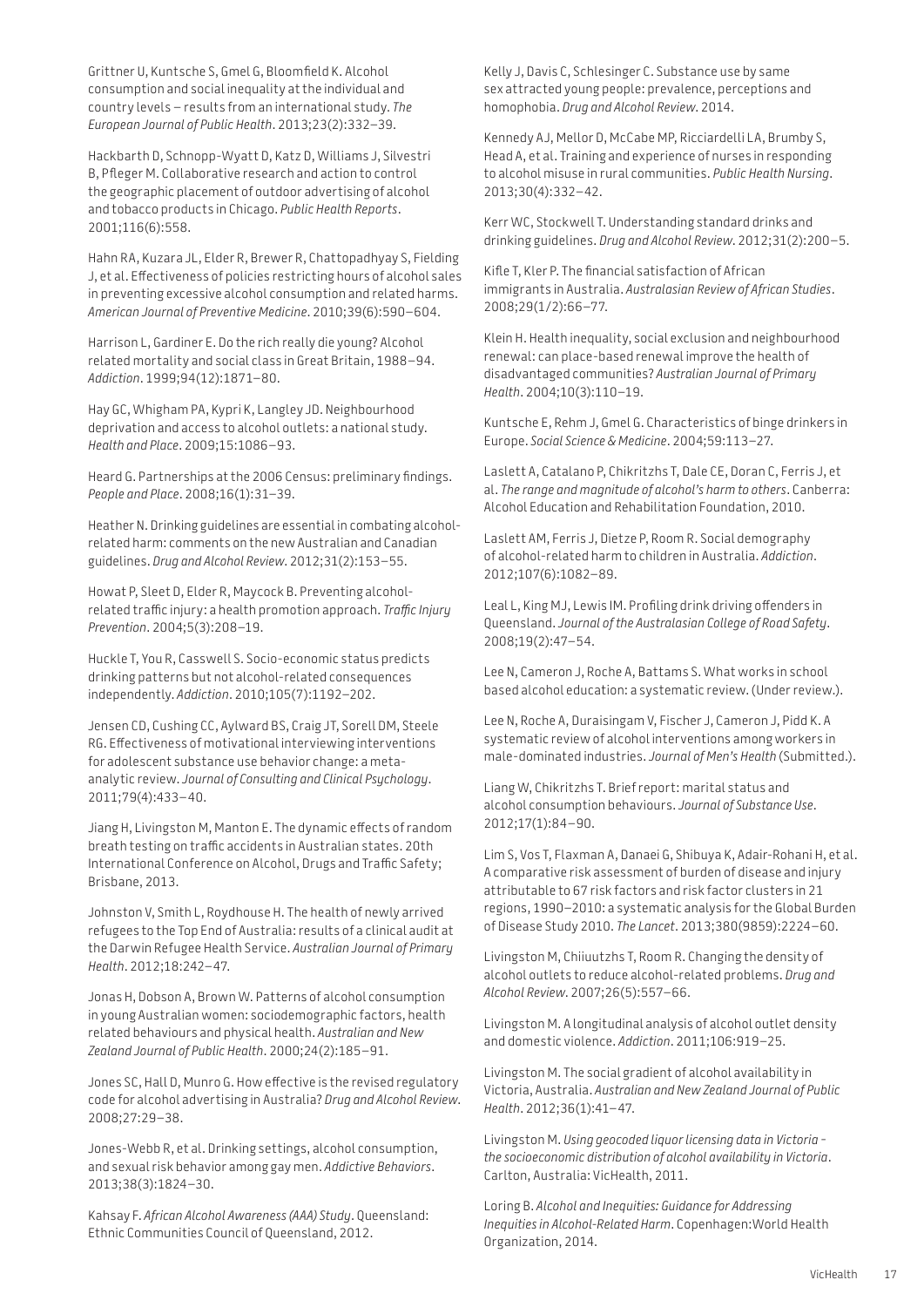Grittner U, Kuntsche S, Gmel G, Bloomfield K. Alcohol consumption and social inequality at the individual and country levels – results from an international study. *The European Journal of Public Health*. 2013;23(2):332–39.

Hackbarth D, Schnopp-Wyatt D, Katz D, Williams J, Silvestri B, Pfleger M. Collaborative research and action to control the geographic placement of outdoor advertising of alcohol and tobacco products in Chicago. *Public Health Reports*. 2001;116(6):558.

Hahn RA, Kuzara JL, Elder R, Brewer R, Chattopadhyay S, Fielding J, et al. Effectiveness of policies restricting hours of alcohol sales in preventing excessive alcohol consumption and related harms. *American Journal of Preventive Medicine*. 2010;39(6):590–604.

Harrison L, Gardiner E. Do the rich really die young? Alcohol‐ related mortality and social class in Great Britain, 1988–94. *Addiction*. 1999;94(12):1871–80.

Hay GC, Whigham PA, Kypri K, Langley JD. Neighbourhood deprivation and access to alcohol outlets: a national study. *Health and Place*. 2009;15:1086–93.

Heard G. Partnerships at the 2006 Census: preliminary findings. *People and Place*. 2008;16(1):31–39.

Heather N. Drinking guidelines are essential in combating alcoholrelated harm: comments on the new Australian and Canadian guidelines. *Drug and Alcohol Review*. 2012;31(2):153–55.

Howat P, Sleet D, Elder R, Maycock B. Preventing alcoholrelated traffic injury: a health promotion approach. *Traffic Injury Prevention*. 2004;5(3):208–19.

Huckle T, You R, Casswell S. Socio-economic status predicts drinking patterns but not alcohol-related consequences independently. *Addiction*. 2010;105(7):1192–202.

Jensen CD, Cushing CC, Aylward BS, Craig JT, Sorell DM, Steele RG. Effectiveness of motivational interviewing interventions for adolescent substance use behavior change: a metaanalytic review. *Journal of Consulting and Clinical Psychology*. 2011;79(4):433–40.

Jiang H, Livingston M, Manton E. The dynamic effects of random breath testing on traffic accidents in Australian states. 20th International Conference on Alcohol, Drugs and Traffic Safety; Brisbane, 2013.

Johnston V, Smith L, Roydhouse H. The health of newly arrived refugees to the Top End of Australia: results of a clinical audit at the Darwin Refugee Health Service. *Australian Journal of Primary Health*. 2012;18:242–47.

Jonas H, Dobson A, Brown W. Patterns of alcohol consumption in young Australian women: sociodemographic factors, health related behaviours and physical health. *Australian and New Zealand Journal of Public Health*. 2000;24(2):185–91.

Jones SC, Hall D, Munro G. How effective is the revised regulatory code for alcohol advertising in Australia? *Drug and Alcohol Review*. 2008;27:29–38.

Jones-Webb R, et al. Drinking settings, alcohol consumption, and sexual risk behavior among gay men. *Addictive Behaviors*. 2013;38(3):1824–30.

Kahsay F. *African Alcohol Awareness (AAA) Study*. Queensland: Ethnic Communities Council of Queensland, 2012.

Kelly J, Davis C, Schlesinger C. Substance use by same sex attracted young people: prevalence, perceptions and homophobia. *Drug and Alcohol Review*. 2014.

Kennedy AJ, Mellor D, McCabe MP, Ricciardelli LA, Brumby S, Head A, et al. Training and experience of nurses in responding to alcohol misuse in rural communities. *Public Health Nursing*. 2013;30(4):332–42.

Kerr WC, Stockwell T. Understanding standard drinks and drinking guidelines. *Drug and Alcohol Review*. 2012;31(2):200–5.

Kifle T, Kler P. The financial satisfaction of African immigrants in Australia. *Australasian Review of African Studies*. 2008;29(1/2):66–77.

Klein H. Health inequality, social exclusion and neighbourhood renewal: can place-based renewal improve the health of disadvantaged communities? *Australian Journal of Primary Health*. 2004;10(3):110–19.

Kuntsche E, Rehm J, Gmel G. Characteristics of binge drinkers in Europe. *Social Science & Medicine*. 2004;59:113–27.

Laslett A, Catalano P, Chikritzhs T, Dale CE, Doran C, Ferris J, et al. *The range and magnitude of alcohol's harm to others*. Canberra: Alcohol Education and Rehabilitation Foundation, 2010.

Laslett AM, Ferris J, Dietze P, Room R. Social demography of alcohol-related harm to children in Australia. *Addiction*. 2012;107(6):1082–89.

Leal L, King MJ, Lewis IM. Profiling drink driving offenders in Queensland. *Journal of the Australasian College of Road Safety*. 2008;19(2):47–54.

Lee N, Cameron J, Roche A, Battams S. What works in school based alcohol education: a systematic review. (Under review.).

Lee N, Roche A, Duraisingam V, Fischer J, Cameron J, Pidd K. A systematic review of alcohol interventions among workers in male-dominated industries. *Journal of Men's Health* (Submitted.).

Liang W, Chikritzhs T. Brief report: marital status and alcohol consumption behaviours. *Journal of Substance Use*. 2012;17(1):84–90.

Lim S, Vos T, Flaxman A, Danaei G, Shibuya K, Adair-Rohani H, et al. A comparative risk assessment of burden of disease and injury attributable to 67 risk factors and risk factor clusters in 21 regions, 1990–2010: a systematic analysis for the Global Burden of Disease Study 2010. *The Lancet*. 2013;380(9859):2224–60.

Livingston M, Chiiuutzhs T, Room R. Changing the density of alcohol outlets to reduce alcohol-related problems. *Drug and Alcohol Review*. 2007;26(5):557–66.

Livingston M. A longitudinal analysis of alcohol outlet density and domestic violence. *Addiction*. 2011;106:919–25.

Livingston M. The social gradient of alcohol availability in Victoria, Australia. *Australian and New Zealand Journal of Public Health*. 2012;36(1):41–47.

Livingston M. *Using geocoded liquor licensing data in Victoria − the socioeconomic distribution of alcohol availability in Victoria*. Carlton, Australia: VicHealth, 2011.

Loring B. *Alcohol and Inequities: Guidance for Addressing Inequities in Alcohol-Related Harm*. Copenhagen:World Health Organization, 2014.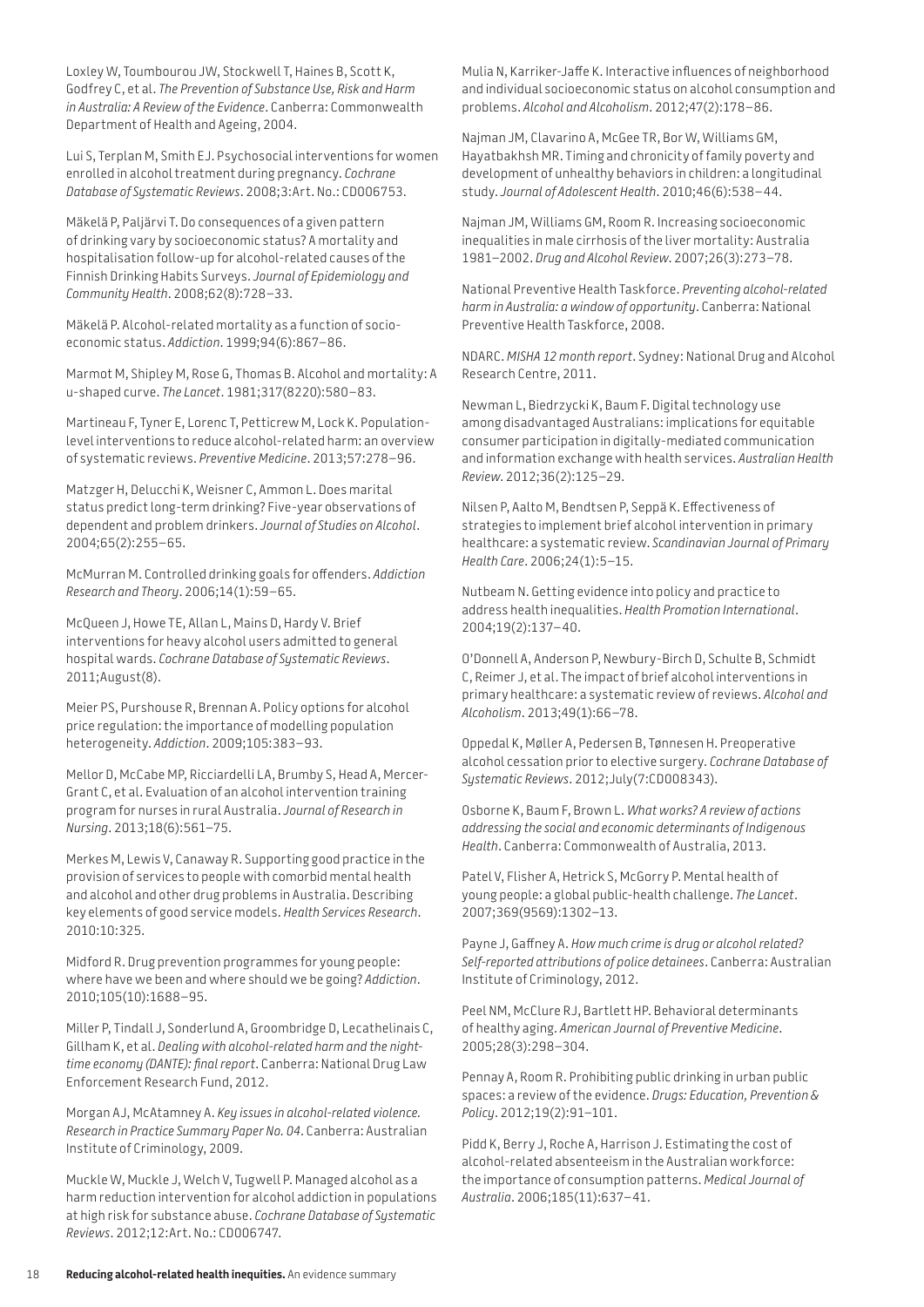Loxley W, Toumbourou JW, Stockwell T, Haines B, Scott K, Godfrey C, et al. *The Prevention of Substance Use, Risk and Harm in Australia: A Review of the Evidence*. Canberra: Commonwealth Department of Health and Ageing, 2004.

Lui S, Terplan M, Smith EJ. Psychosocial interventions for women enrolled in alcohol treatment during pregnancy. *Cochrane Database of Systematic Reviews*. 2008;3:Art. No.: CD006753.

Mäkelä P, Paljärvi T. Do consequences of a given pattern of drinking vary by socioeconomic status? A mortality and hospitalisation follow-up for alcohol-related causes of the Finnish Drinking Habits Surveys. *Journal of Epidemiology and Community Health*. 2008;62(8):728–33.

Mäkelä P. Alcohol-related mortality as a function of socioeconomic status. *Addiction*. 1999;94(6):867–86.

Marmot M, Shipley M, Rose G, Thomas B. Alcohol and mortality: A u-shaped curve. *The Lancet*. 1981;317(8220):580–83.

Martineau F, Tyner E, Lorenc T, Petticrew M, Lock K. Populationlevel interventions to reduce alcohol-related harm: an overview of systematic reviews. *Preventive Medicine*. 2013;57:278–96.

Matzger H, Delucchi K, Weisner C, Ammon L. Does marital status predict long-term drinking? Five-year observations of dependent and problem drinkers. *Journal of Studies on Alcohol*. 2004;65(2):255–65.

McMurran M. Controlled drinking goals for offenders. *Addiction Research and Theory*. 2006;14(1):59–65.

McQueen J, Howe TE, Allan L, Mains D, Hardy V. Brief interventions for heavy alcohol users admitted to general hospital wards. *Cochrane Database of Systematic Reviews*. 2011;August(8).

Meier PS, Purshouse R, Brennan A. Policy options for alcohol price regulation: the importance of modelling population heterogeneity. *Addiction*. 2009;105:383–93.

Mellor D, McCabe MP, Ricciardelli LA, Brumby S, Head A, Mercer-Grant C, et al. Evaluation of an alcohol intervention training program for nurses in rural Australia. *Journal of Research in Nursing*. 2013;18(6):561–75.

Merkes M, Lewis V, Canaway R. Supporting good practice in the provision of services to people with comorbid mental health and alcohol and other drug problems in Australia. Describing key elements of good service models. *Health Services Research*. 2010:10:325.

Midford R. Drug prevention programmes for young people: where have we been and where should we be going? *Addiction*. 2010;105(10):1688–95.

Miller P, Tindall J, Sonderlund A, Groombridge D, Lecathelinais C, Gillham K, et al. *Dealing with alcohol-related harm and the nighttime economy (DANTE): final report*. Canberra: National Drug Law Enforcement Research Fund, 2012.

Morgan AJ, McAtamney A. *Key issues in alcohol-related violence. Research in Practice Summary Paper No. 04*. Canberra: Australian Institute of Criminology, 2009.

Muckle W, Muckle J, Welch V, Tugwell P. Managed alcohol as a harm reduction intervention for alcohol addiction in populations at high risk for substance abuse. *Cochrane Database of Systematic Reviews*. 2012;12:Art. No.: CD006747.

Mulia N, Karriker-Jaffe K. Interactive influences of neighborhood and individual socioeconomic status on alcohol consumption and problems. *Alcohol and Alcoholism*. 2012;47(2):178–86.

Najman JM, Clavarino A, McGee TR, Bor W, Williams GM, Hayatbakhsh MR. Timing and chronicity of family poverty and development of unhealthy behaviors in children: a longitudinal study. *Journal of Adolescent Health*. 2010;46(6):538–44.

Najman JM, Williams GM, Room R. Increasing socioeconomic inequalities in male cirrhosis of the liver mortality: Australia 1981–2002. *Drug and Alcohol Review*. 2007;26(3):273–78.

National Preventive Health Taskforce. *Preventing alcohol-related harm in Australia: a window of opportunity*. Canberra: National Preventive Health Taskforce, 2008.

NDARC. *MISHA 12 month report*. Sydney: National Drug and Alcohol Research Centre, 2011.

Newman L, Biedrzycki K, Baum F. Digital technology use among disadvantaged Australians: implications for equitable consumer participation in digitally-mediated communication and information exchange with health services. *Australian Health Review*. 2012;36(2):125–29.

Nilsen P, Aalto M, Bendtsen P, Seppä K. Effectiveness of strategies to implement brief alcohol intervention in primary healthcare: a systematic review. *Scandinavian Journal of Primary Health Care*. 2006;24(1):5–15.

Nutbeam N. Getting evidence into policy and practice to address health inequalities. *Health Promotion International*. 2004;19(2):137–40.

O'Donnell A, Anderson P, Newbury-Birch D, Schulte B, Schmidt C, Reimer J, et al. The impact of brief alcohol interventions in primary healthcare: a systematic review of reviews. *Alcohol and Alcoholism*. 2013;49(1):66–78.

Oppedal K, Møller A, Pedersen B, Tønnesen H. Preoperative alcohol cessation prior to elective surgery. *Cochrane Database of Systematic Reviews*. 2012;July(7:CD008343).

Osborne K, Baum F, Brown L. *What works? A review of actions addressing the social and economic determinants of Indigenous Health*. Canberra: Commonwealth of Australia, 2013.

Patel V, Flisher A, Hetrick S, McGorry P. Mental health of young people: a global public-health challenge. *The Lancet*. 2007;369(9569):1302–13.

Payne J, Gaffney A. *How much crime is drug or alcohol related? Self-reported attributions of police detainees*. Canberra: Australian Institute of Criminology, 2012.

Peel NM, McClure RJ, Bartlett HP. Behavioral determinants of healthy aging. *American Journal of Preventive Medicine*. 2005;28(3):298–304.

Pennay A, Room R. Prohibiting public drinking in urban public spaces: a review of the evidence. *Drugs: Education, Prevention & Policy*. 2012;19(2):91–101.

Pidd K, Berry J, Roche A, Harrison J. Estimating the cost of alcohol-related absenteeism in the Australian workforce: the importance of consumption patterns. *Medical Journal of Australia*. 2006;185(11):637–41.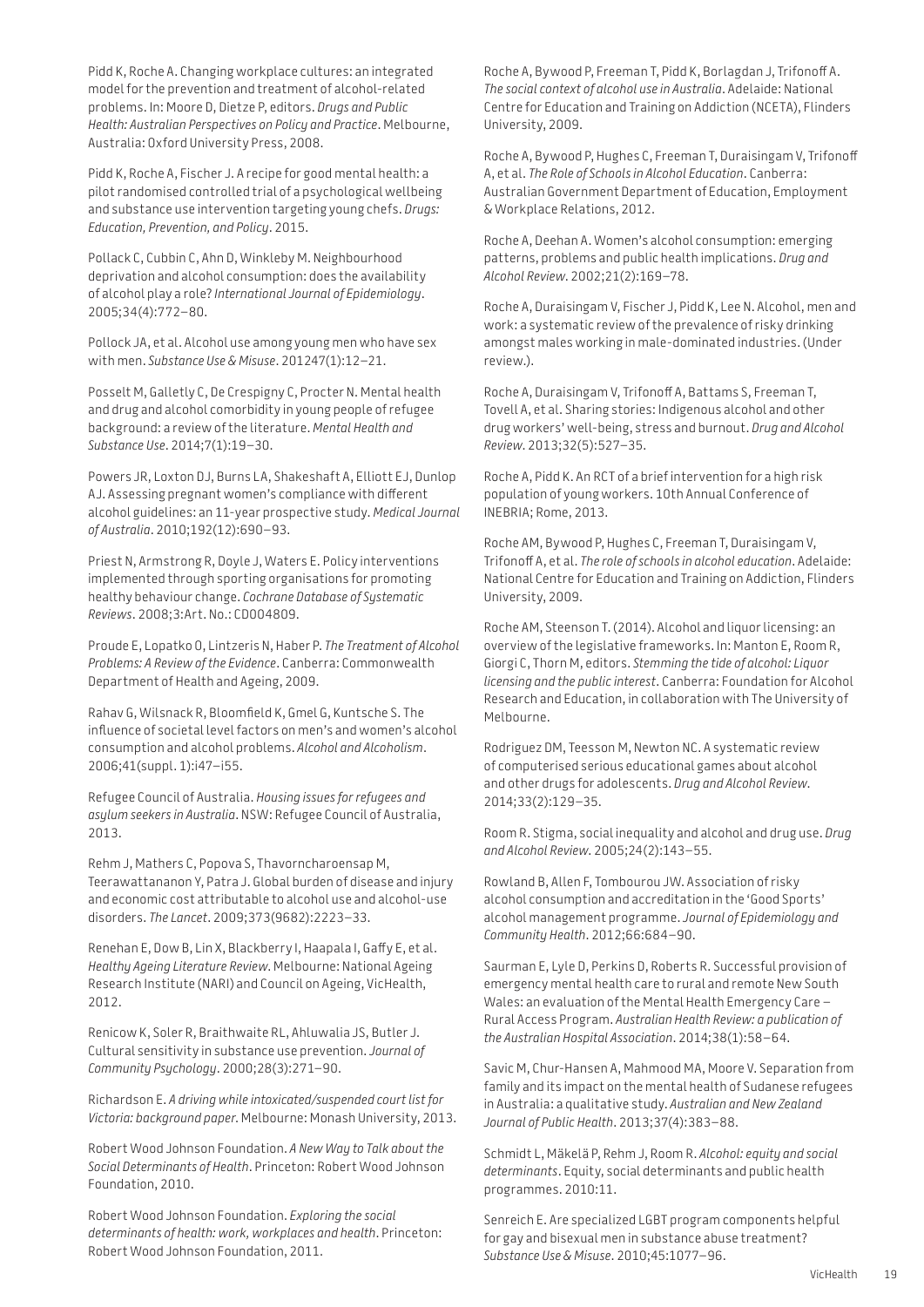Pidd K, Roche A. Changing workplace cultures: an integrated model for the prevention and treatment of alcohol-related problems. In: Moore D, Dietze P, editors. *Drugs and Public Health: Australian Perspectives on Policy and Practice*. Melbourne, Australia: Oxford University Press, 2008.

Pidd K, Roche A, Fischer J. A recipe for good mental health: a pilot randomised controlled trial of a psychological wellbeing and substance use intervention targeting young chefs. *Drugs: Education, Prevention, and Policy*. 2015.

Pollack C, Cubbin C, Ahn D, Winkleby M. Neighbourhood deprivation and alcohol consumption: does the availability of alcohol play a role? *International Journal of Epidemiology*. 2005;34(4):772–80.

Pollock JA, et al. Alcohol use among young men who have sex with men. *Substance Use & Misuse*. 201247(1):12–21.

Posselt M, Galletly C, De Crespigny C, Procter N. Mental health and drug and alcohol comorbidity in young people of refugee background: a review of the literature. *Mental Health and Substance Use*. 2014;7(1):19–30.

Powers JR, Loxton DJ, Burns LA, Shakeshaft A, Elliott EJ, Dunlop AJ. Assessing pregnant women's compliance with different alcohol guidelines: an 11-year prospective study. *Medical Journal of Australia*. 2010;192(12):690–93.

Priest N, Armstrong R, Doyle J, Waters E. Policy interventions implemented through sporting organisations for promoting healthy behaviour change. *Cochrane Database of Systematic Reviews*. 2008;3:Art. No.: CD004809.

Proude E, Lopatko O, Lintzeris N, Haber P. *The Treatment of Alcohol Problems: A Review of the Evidence*. Canberra: Commonwealth Department of Health and Ageing, 2009.

Rahav G, Wilsnack R, Bloomfield K, Gmel G, Kuntsche S. The influence of societal level factors on men's and women's alcohol consumption and alcohol problems. *Alcohol and Alcoholism*. 2006;41(suppl. 1):i47–i55.

Refugee Council of Australia. *Housing issues for refugees and asylum seekers in Australia*. NSW: Refugee Council of Australia, 2013.

Rehm J, Mathers C, Popova S, Thavorncharoensap M, Teerawattananon Y, Patra J. Global burden of disease and injury and economic cost attributable to alcohol use and alcohol-use disorders. *The Lancet*. 2009;373(9682):2223–33.

Renehan E, Dow B, Lin X, Blackberry I, Haapala I, Gaffy E, et al. *Healthy Ageing Literature Review*. Melbourne: National Ageing Research Institute (NARI) and Council on Ageing, VicHealth, 2012.

Renicow K, Soler R, Braithwaite RL, Ahluwalia JS, Butler J. Cultural sensitivity in substance use prevention. *Journal of Community Psychology*. 2000;28(3):271–90.

Richardson E. *A driving while intoxicated/suspended court list for Victoria: background paper*. Melbourne: Monash University, 2013.

Robert Wood Johnson Foundation. *A New Way to Talk about the Social Determinants of Health*. Princeton: Robert Wood Johnson Foundation, 2010.

Robert Wood Johnson Foundation. *Exploring the social determinants of health: work, workplaces and health*. Princeton: Robert Wood Johnson Foundation, 2011.

Roche A, Bywood P, Freeman T, Pidd K, Borlagdan J, Trifonoff A. *The social context of alcohol use in Australia*. Adelaide: National Centre for Education and Training on Addiction (NCETA), Flinders University, 2009.

Roche A, Bywood P, Hughes C, Freeman T, Duraisingam V, Trifonoff A, et al. *The Role of Schools in Alcohol Education*. Canberra: Australian Government Department of Education, Employment & Workplace Relations, 2012.

Roche A, Deehan A. Women's alcohol consumption: emerging patterns, problems and public health implications. *Drug and Alcohol Review*. 2002;21(2):169–78.

Roche A, Duraisingam V, Fischer J, Pidd K, Lee N. Alcohol, men and work: a systematic review of the prevalence of risky drinking amongst males working in male-dominated industries. (Under review.).

Roche A, Duraisingam V, Trifonoff A, Battams S, Freeman T, Tovell A, et al. Sharing stories: Indigenous alcohol and other drug workers' well-being, stress and burnout. *Drug and Alcohol Review*. 2013;32(5):527–35.

Roche A, Pidd K. An RCT of a brief intervention for a high risk population of young workers. 10th Annual Conference of INEBRIA; Rome, 2013.

Roche AM, Bywood P, Hughes C, Freeman T, Duraisingam V, Trifonoff A, et al. *The role of schools in alcohol education*. Adelaide: National Centre for Education and Training on Addiction, Flinders University, 2009.

Roche AM, Steenson T. (2014). Alcohol and liquor licensing: an overview of the legislative frameworks. In: Manton E, Room R, Giorgi C, Thorn M, editors. *Stemming the tide of alcohol: Liquor licensing and the public interest*. Canberra: Foundation for Alcohol Research and Education, in collaboration with The University of Melbourne.

Rodriguez DM, Teesson M, Newton NC. A systematic review of computerised serious educational games about alcohol and other drugs for adolescents. *Drug and Alcohol Review*. 2014;33(2):129–35.

Room R. Stigma, social inequality and alcohol and drug use. *Drug and Alcohol Review*. 2005;24(2):143–55.

Rowland B, Allen F, Tombourou JW. Association of risky alcohol consumption and accreditation in the 'Good Sports' alcohol management programme. *Journal of Epidemiology and Community Health*. 2012;66:684–90.

Saurman E, Lyle D, Perkins D, Roberts R. Successful provision of emergency mental health care to rural and remote New South Wales: an evaluation of the Mental Health Emergency Care – Rural Access Program. *Australian Health Review: a publication of the Australian Hospital Association*. 2014;38(1):58–64.

Savic M, Chur-Hansen A, Mahmood MA, Moore V. Separation from family and its impact on the mental health of Sudanese refugees in Australia: a qualitative study. *Australian and New Zealand Journal of Public Health*. 2013;37(4):383–88.

Schmidt L, Mäkelä P, Rehm J, Room R. *Alcohol: equity and social determinants*. Equity, social determinants and public health programmes. 2010:11.

Senreich E. Are specialized LGBT program components helpful for gay and bisexual men in substance abuse treatment? *Substance Use & Misuse*. 2010;45:1077–96.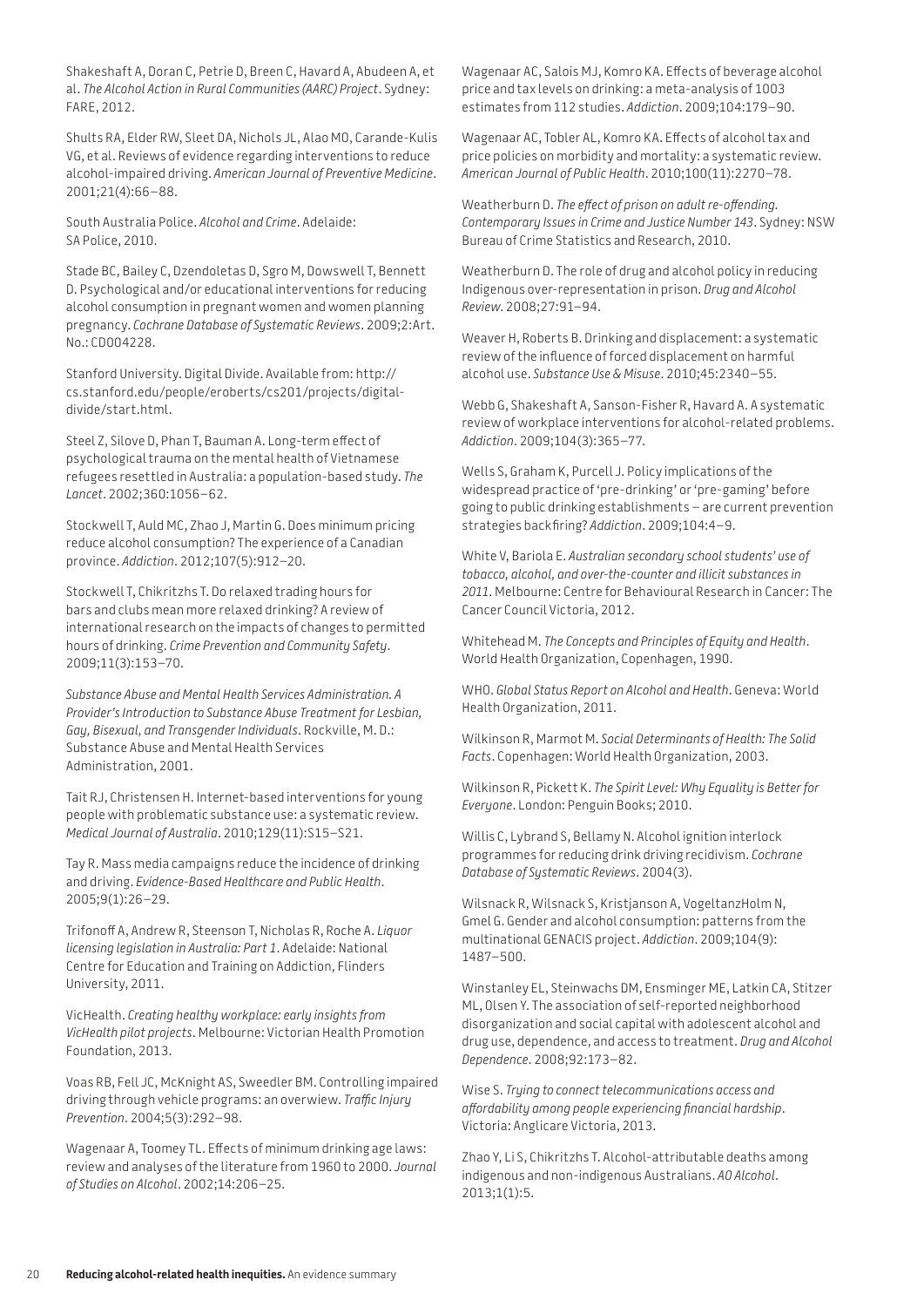Shakeshaft A, Doran C, Petrie D, Breen C, Havard A, Abudeen A, et al. *The Alcohol Action in Rural Communities (AARC) Project*. Sydney: FARE, 2012.

Shults RA, Elder RW, Sleet DA, Nichols JL, Alao MO, Carande-Kulis VG, et al. Reviews of evidence regarding interventions to reduce alcohol-impaired driving. *American Journal of Preventive Medicine*. 2001;21(4):66–88.

South Australia Police. *Alcohol and Crime*. Adelaide: SA Police, 2010.

Stade BC, Bailey C, Dzendoletas D, Sgro M, Dowswell T, Bennett D. Psychological and/or educational interventions for reducing alcohol consumption in pregnant women and women planning pregnancy. *Cochrane Database of Systematic Reviews*. 2009;2:Art. No.: CD004228.

Stanford University. Digital Divide. Available from: [http://](http://cs.stanford.edu/people/eroberts/cs201/projects/digital-divide/start.html) [cs.stanford.edu/people/eroberts/cs201/projects/digital](http://cs.stanford.edu/people/eroberts/cs201/projects/digital-divide/start.html)divide/[start.html.](http://cs.stanford.edu/people/eroberts/cs201/projects/digital-divide/start.html)

Steel Z, Silove D, Phan T, Bauman A. Long-term effect of psychological trauma on the mental health of Vietnamese refugees resettled in Australia: a population-based study. *The Lancet*. 2002;360:1056–62.

Stockwell T, Auld MC, Zhao J, Martin G. Does minimum pricing reduce alcohol consumption? The experience of a Canadian province. *Addiction*. 2012;107(5):912–20.

Stockwell T, Chikritzhs T. Do relaxed trading hours for bars and clubs mean more relaxed drinking? A review of international research on the impacts of changes to permitted hours of drinking. *Crime Prevention and Community Safety*. 2009;11(3):153–70.

*Substance Abuse and Mental Health Services Administration. A Provider's Introduction to Substance Abuse Treatment for Lesbian, Gay, Bisexual, and Transgender Individuals*. Rockville, M. D.: Substance Abuse and Mental Health Services Administration, 2001.

Tait RJ, Christensen H. Internet-based interventions for young people with problematic substance use: a systematic review. *Medical Journal of Australia*. 2010;129(11):S15–S21.

Tay R. Mass media campaigns reduce the incidence of drinking and driving. *Evidence-Based Healthcare and Public Health*. 2005;9(1):26–29.

Trifonoff A, Andrew R, Steenson T, Nicholas R, Roche A. *Liquor licensing legislation in Australia: Part 1*. Adelaide: National Centre for Education and Training on Addiction, Flinders University, 2011.

VicHealth. *Creating healthy workplace: early insights from VicHealth pilot projects*. Melbourne: Victorian Health Promotion Foundation, 2013.

Voas RB, Fell JC, McKnight AS, Sweedler BM. Controlling impaired driving through vehicle programs: an overwiew. *Traffic Injury Prevention*. 2004;5(3):292–98.

Wagenaar A, Toomey TL. Effects of minimum drinking age laws: review and analyses of the literature from 1960 to 2000. *Journal of Studies on Alcohol*. 2002;14:206–25.

Wagenaar AC, Salois MJ, Komro KA. Effects of beverage alcohol price and tax levels on drinking: a meta-analysis of 1003 estimates from 112 studies. *Addiction*. 2009;104:179–90.

Wagenaar AC, Tobler AL, Komro KA. Effects of alcohol tax and price policies on morbidity and mortality: a systematic review. *American Journal of Public Health*. 2010;100(11):2270–78.

Weatherburn D. *The effect of prison on adult re-offending. Contemporary Issues in Crime and Justice Number 143*. Sydney: NSW Bureau of Crime Statistics and Research, 2010.

Weatherburn D. The role of drug and alcohol policy in reducing Indigenous over-representation in prison. *Drug and Alcohol Review*. 2008;27:91–94.

Weaver H, Roberts B. Drinking and displacement: a systematic review of the influence of forced displacement on harmful alcohol use. *Substance Use & Misuse*. 2010;45:2340–55.

Webb G, Shakeshaft A, Sanson-Fisher R, Havard A. A systematic review of workplace interventions for alcohol-related problems. *Addiction*. 2009;104(3):365–77.

Wells S, Graham K, Purcell J. Policy implications of the widespread practice of 'pre-drinking' or 'pre-gaming' before going to public drinking establishments – are current prevention strategies backfiring? *Addiction*. 2009;104:4–9.

White V, Bariola E. *Australian secondary school students' use of tobacco, alcohol, and over-the-counter and illicit substances in 2011*. Melbourne: Centre for Behavioural Research in Cancer: The Cancer Council Victoria, 2012.

Whitehead M. *The Concepts and Principles of Equity and Health*. World Health Organization, Copenhagen, 1990.

WHO. *Global Status Report on Alcohol and Health*. Geneva: World Health Organization, 2011.

Wilkinson R, Marmot M. *Social Determinants of Health: The Solid Facts*. Copenhagen: World Health Organization, 2003.

Wilkinson R, Pickett K. *The Spirit Level: Why Equality is Better for Everyone*. London: Penguin Books; 2010.

Willis C, Lybrand S, Bellamy N. Alcohol ignition interlock programmes for reducing drink driving recidivism. *Cochrane Database of Systematic Reviews*. 2004(3).

Wilsnack R, Wilsnack S, Kristjanson A, VogeltanzHolm N, Gmel G. Gender and alcohol consumption: patterns from the multinational GENACIS project. *Addiction*. 2009;104(9): 1487–500.

Winstanley EL, Steinwachs DM, Ensminger ME, Latkin CA, Stitzer ML, Olsen Y. The association of self-reported neighborhood disorganization and social capital with adolescent alcohol and drug use, dependence, and access to treatment. *Drug and Alcohol Dependence*. 2008;92:173–82.

Wise S. *Trying to connect telecommunications access and affordability among people experiencing financial hardship*. Victoria: Anglicare Victoria, 2013.

Zhao Y, Li S, Chikritzhs T. Alcohol-attributable deaths among indigenous and non-indigenous Australians. *AO Alcohol*. 2013;1(1):5.